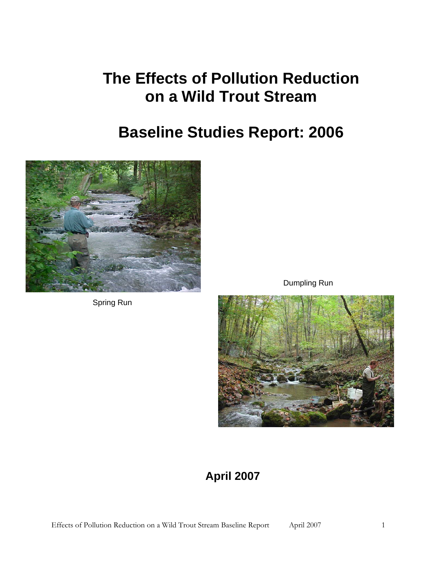# **The Effects of Pollution Reduction on a Wild Trout Stream**

# **Baseline Studies Report: 2006**



Spring Run

Dumpling Run



# **April 2007**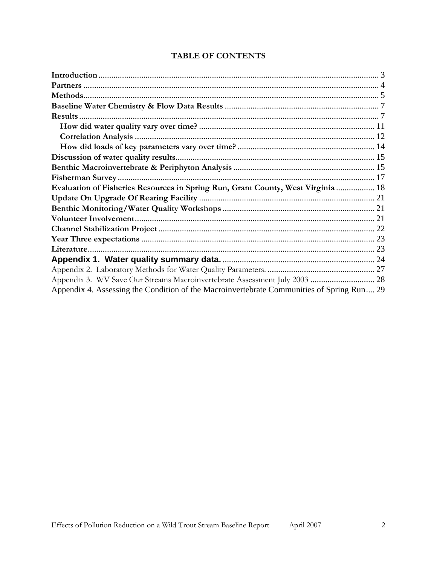| Methods.                                                                                  |  |
|-------------------------------------------------------------------------------------------|--|
|                                                                                           |  |
| Results.                                                                                  |  |
|                                                                                           |  |
|                                                                                           |  |
|                                                                                           |  |
|                                                                                           |  |
|                                                                                           |  |
|                                                                                           |  |
| Evaluation of Fisheries Resources in Spring Run, Grant County, West Virginia  18          |  |
|                                                                                           |  |
|                                                                                           |  |
|                                                                                           |  |
|                                                                                           |  |
|                                                                                           |  |
|                                                                                           |  |
|                                                                                           |  |
|                                                                                           |  |
| Appendix 3. WV Save Our Streams Macroinvertebrate Assessment July 2003  28                |  |
| Appendix 4. Assessing the Condition of the Macroinvertebrate Communities of Spring Run 29 |  |

# TABLE OF CONTENTS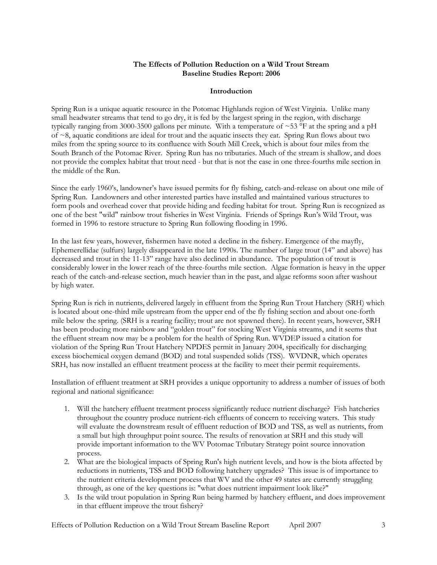### **The Effects of Pollution Reduction on a Wild Trout Stream Baseline Studies Report: 2006**

#### **Introduction**

<span id="page-2-0"></span>Spring Run is a unique aquatic resource in the Potomac Highlands region of West Virginia. Unlike many small headwater streams that tend to go dry, it is fed by the largest spring in the region, with discharge typically ranging from 3000-3500 gallons per minute. With a temperature of  $\sim$ 53 °F at the spring and a pH of  $\sim$ 8, aquatic conditions are ideal for trout and the aquatic insects they eat. Spring Run flows about two miles from the spring source to its confluence with South Mill Creek, which is about four miles from the South Branch of the Potomac River. Spring Run has no tributaries. Much of the stream is shallow, and does not provide the complex habitat that trout need - but that is not the case in one three-fourths mile section in the middle of the Run.

Since the early 1960's, landowner's have issued permits for fly fishing, catch-and-release on about one mile of Spring Run. Landowners and other interested parties have installed and maintained various structures to form pools and overhead cover that provide hiding and feeding habitat for trout. Spring Run is recognized as one of the best "wild" rainbow trout fisheries in West Virginia. Friends of Springs Run's Wild Trout, was formed in 1996 to restore structure to Spring Run following flooding in 1996.

In the last few years, however, fishermen have noted a decline in the fishery. Emergence of the mayfly, Ephemerellidae (sulfurs) largely disappeared in the late 1990s. The number of large trout (14" and above) has decreased and trout in the 11-13" range have also declined in abundance. The population of trout is considerably lower in the lower reach of the three-fourths mile section. Algae formation is heavy in the upper reach of the catch-and-release section, much heavier than in the past, and algae reforms soon after washout by high water.

Spring Run is rich in nutrients, delivered largely in effluent from the Spring Run Trout Hatchery (SRH) which is located about one-third mile upstream from the upper end of the fly fishing section and about one-forth mile below the spring. (SRH is a rearing facility; trout are not spawned there). In recent years, however, SRH has been producing more rainbow and "golden trout" for stocking West Virginia streams, and it seems that the effluent stream now may be a problem for the health of Spring Run. WVDEP issued a citation for violation of the Spring Run Trout Hatchery NPDES permit in January 2004, specifically for discharging excess biochemical oxygen demand (BOD) and total suspended solids (TSS). WVDNR, which operates SRH, has now installed an effluent treatment process at the facility to meet their permit requirements.

Installation of effluent treatment at SRH provides a unique opportunity to address a number of issues of both regional and national significance:

- 1. Will the hatchery effluent treatment process significantly reduce nutrient discharge? Fish hatcheries throughout the country produce nutrient-rich effluents of concern to receiving waters. This study will evaluate the downstream result of effluent reduction of BOD and TSS, as well as nutrients, from a small but high throughput point source. The results of renovation at SRH and this study will provide important information to the WV Potomac Tributary Strategy point source innovation process.
- 2. What are the biological impacts of Spring Run's high nutrient levels, and how is the biota affected by reductions in nutrients, TSS and BOD following hatchery upgrades? This issue is of importance to the nutrient criteria development process that WV and the other 49 states are currently struggling through, as one of the key questions is: "what does nutrient impairment look like?"
- 3. Is the wild trout population in Spring Run being harmed by hatchery effluent, and does improvement in that effluent improve the trout fishery?

Effects of Pollution Reduction on a Wild Trout Stream Baseline Report April 2007 3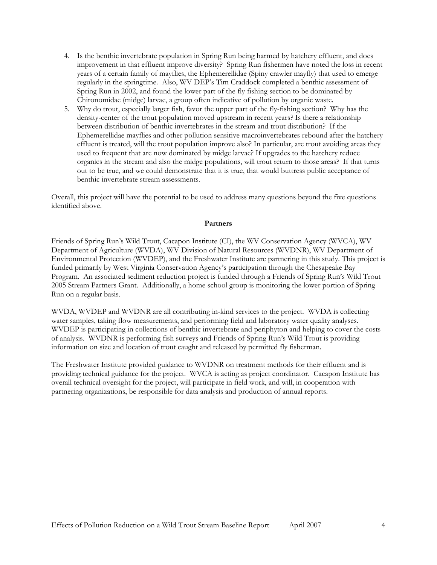- <span id="page-3-0"></span>4. Is the benthic invertebrate population in Spring Run being harmed by hatchery effluent, and does improvement in that effluent improve diversity? Spring Run fishermen have noted the loss in recent years of a certain family of mayflies, the Ephemerellidae (Spiny crawler mayfly) that used to emerge regularly in the springtime. Also, WV DEP's Tim Craddock completed a benthic assessment of Spring Run in 2002, and found the lower part of the fly fishing section to be dominated by Chironomidae (midge) larvae, a group often indicative of pollution by organic waste.
- 5. Why do trout, especially larger fish, favor the upper part of the fly-fishing section? Why has the density-center of the trout population moved upstream in recent years? Is there a relationship between distribution of benthic invertebrates in the stream and trout distribution? If the Ephemerellidae mayflies and other pollution sensitive macroinvertebrates rebound after the hatchery effluent is treated, will the trout population improve also? In particular, are trout avoiding areas they used to frequent that are now dominated by midge larvae? If upgrades to the hatchery reduce organics in the stream and also the midge populations, will trout return to those areas? If that turns out to be true, and we could demonstrate that it is true, that would buttress public acceptance of benthic invertebrate stream assessments.

Overall, this project will have the potential to be used to address many questions beyond the five questions identified above.

#### **Partners**

Friends of Spring Run's Wild Trout, Cacapon Institute (CI), the WV Conservation Agency (WVCA), WV Department of Agriculture (WVDA), WV Division of Natural Resources (WVDNR), WV Department of Environmental Protection (WVDEP), and the Freshwater Institute are partnering in this study. This project is funded primarily by West Virginia Conservation Agency's participation through the Chesapeake Bay Program. An associated sediment reduction project is funded through a Friends of Spring Run's Wild Trout 2005 Stream Partners Grant. Additionally, a home school group is monitoring the lower portion of Spring Run on a regular basis.

WVDA, WVDEP and WVDNR are all contributing in-kind services to the project. WVDA is collecting water samples, taking flow measurements, and performing field and laboratory water quality analyses. WVDEP is participating in collections of benthic invertebrate and periphyton and helping to cover the costs of analysis. WVDNR is performing fish surveys and Friends of Spring Run's Wild Trout is providing information on size and location of trout caught and released by permitted fly fisherman.

The Freshwater Institute provided guidance to WVDNR on treatment methods for their effluent and is providing technical guidance for the project. WVCA is acting as project coordinator. Cacapon Institute has overall technical oversight for the project, will participate in field work, and will, in cooperation with partnering organizations, be responsible for data analysis and production of annual reports.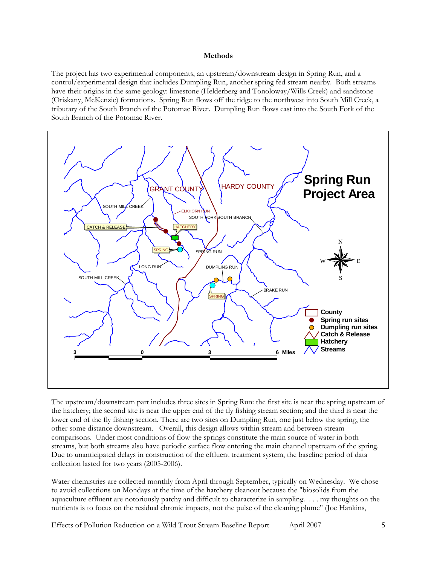#### **Methods**

<span id="page-4-0"></span>The project has two experimental components, an upstream/downstream design in Spring Run, and a control/experimental design that includes Dumpling Run, another spring fed stream nearby. Both streams have their origins in the same geology: limestone (Helderberg and Tonoloway/Wills Creek) and sandstone (Oriskany, McKenzie) formations. Spring Run flows off the ridge to the northwest into South Mill Creek, a tributary of the South Branch of the Potomac River. Dumpling Run flows east into the South Fork of the South Branch of the Potomac River.



The upstream/downstream part includes three sites in Spring Run: the first site is near the spring upstream of the hatchery; the second site is near the upper end of the fly fishing stream section; and the third is near the lower end of the fly fishing section. There are two sites on Dumpling Run, one just below the spring, the other some distance downstream. Overall, this design allows within stream and between stream comparisons. Under most conditions of flow the springs constitute the main source of water in both streams, but both streams also have periodic surface flow entering the main channel upstream of the spring. Due to unanticipated delays in construction of the effluent treatment system, the baseline period of data collection lasted for two years (2005-2006).

Water chemistries are collected monthly from April through September, typically on Wednesday. We chose to avoid collections on Mondays at the time of the hatchery cleanout because the "biosolids from the aquaculture effluent are notoriously patchy and difficult to characterize in sampling. . . . my thoughts on the nutrients is to focus on the residual chronic impacts, not the pulse of the cleaning plume" (Joe Hankins,

Effects of Pollution Reduction on a Wild Trout Stream Baseline Report April 2007 5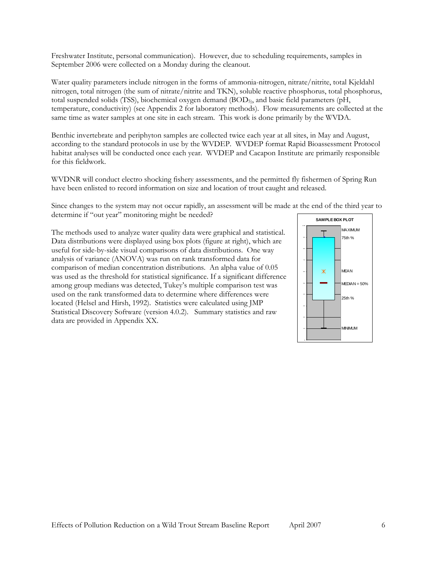Freshwater Institute, personal communication). However, due to scheduling requirements, samples in September 2006 were collected on a Monday during the cleanout.

Water quality parameters include nitrogen in the forms of ammonia-nitrogen, nitrate/nitrite, total Kjeldahl nitrogen, total nitrogen (the sum of nitrate/nitrite and TKN), soluble reactive phosphorus, total phosphorus, total suspended solids (TSS), biochemical oxygen demand (BOD5), and basic field parameters (pH, temperature, conductivity) (see Appendix 2 for laboratory methods). Flow measurements are collected at the same time as water samples at one site in each stream. This work is done primarily by the WVDA.

Benthic invertebrate and periphyton samples are collected twice each year at all sites, in May and August, according to the standard protocols in use by the WVDEP. WVDEP format Rapid Bioassessment Protocol habitat analyses will be conducted once each year. WVDEP and Cacapon Institute are primarily responsible for this fieldwork.

WVDNR will conduct electro shocking fishery assessments, and the permitted fly fishermen of Spring Run have been enlisted to record information on size and location of trout caught and released.

Since changes to the system may not occur rapidly, an assessment will be made at the end of the third year to determine if "out year" monitoring might be needed?

The methods used to analyze water quality data were graphical and statistical. Data distributions were displayed using box plots (figure at right), which are useful for side-by-side visual comparisons of data distributions. One way analysis of variance (ANOVA) was run on rank transformed data for comparison of median concentration distributions. An alpha value of 0.05 was used as the threshold for statistical significance. If a significant difference among group medians was detected, Tukey's multiple comparison test was used on the rank transformed data to determine where differences were located (Helsel and Hirsh, 1992). Statistics were calculated using JMP Statistical Discovery Software (version 4.0.2). Summary statistics and raw data are provided in Appendix XX.

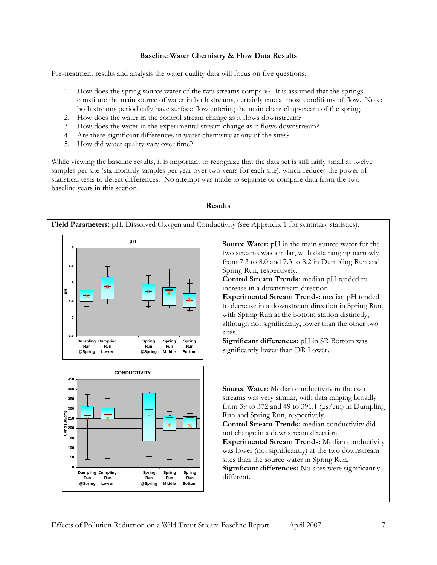# **Baseline Water Chemistry & Flow Data Results**

<span id="page-6-0"></span>Pre-treatment results and analysis the water quality data will focus on five questions:

- 1. How does the spring source water of the two streams compare? It is assumed that the springs constitute the main source of water in both streams, certainly true at most conditions of flow. Note: both streams periodically have surface flow entering the main channel upstream of the spring.
- 2. How does the water in the control stream change as it flows downstream?
- 3. How does the water in the experimental stream change as it flows downstream?
- 4. Are there significant differences in water chemistry at any of the sites?
- 5. How did water quality vary over time?

While viewing the baseline results, it is important to recognize that the data set is still fairly small at twelve samples per site (six monthly samples per year over two years for each site), which reduces the power of statistical tests to detect differences. No attempt was made to separate or compare data from the two baseline years in this section.



#### **Results**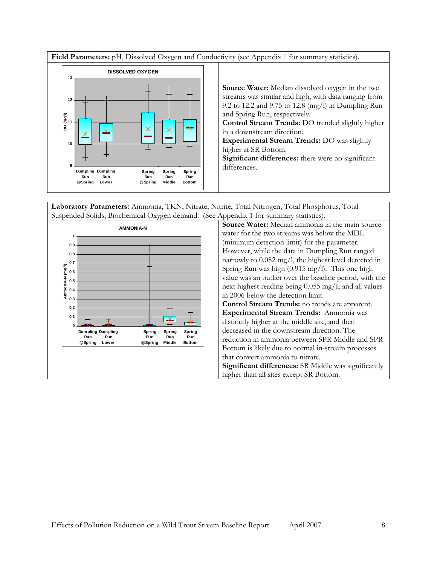**Field Parameters:** pH, Dissolved Oxygen and Conductivity (see Appendix 1 for summary statistics).



**Laboratory Parameters:** Ammonia, TKN, Nitrate, Nitrite, Total Nitrogen, Total Phosphorus, Total Suspended Solids, Biochemical Oxygen demand. (See Appendix 1 for summary statistics).

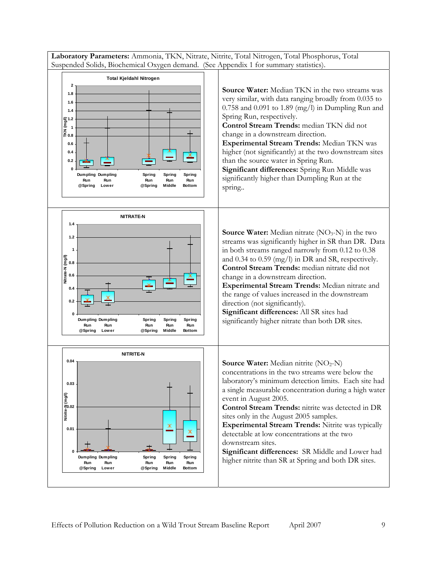**Laboratory Parameters:** Ammonia, TKN, Nitrate, Nitrite, Total Nitrogen, Total Phosphorus, Total Suspended Solids, Biochemical Oxygen demand. (See Appendix 1 for summary statistics).

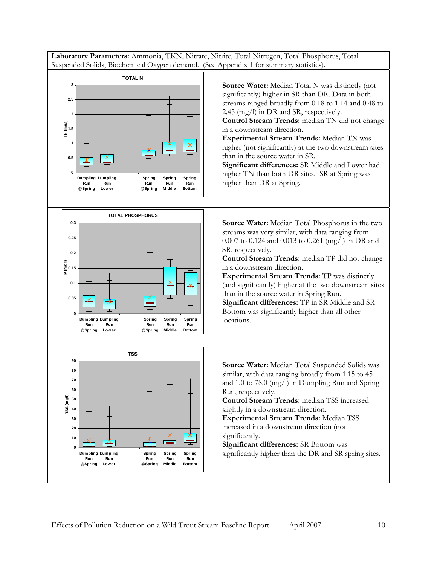**Laboratory Parameters:** Ammonia, TKN, Nitrate, Nitrite, Total Nitrogen, Total Phosphorus, Total Suspended Solids, Biochemical Oxygen demand. (See Appendix 1 for summary statistics).

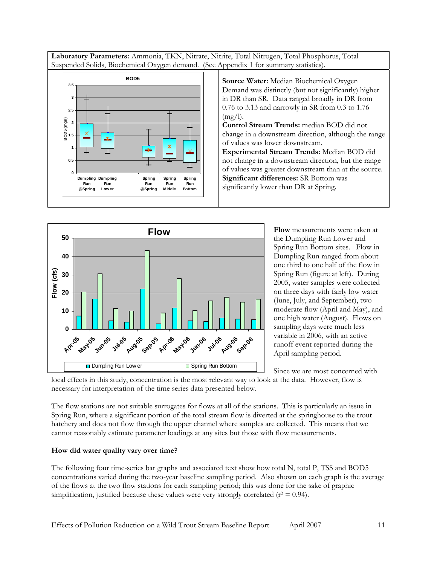<span id="page-10-0"></span>**Laboratory Parameters:** Ammonia, TKN, Nitrate, Nitrite, Total Nitrogen, Total Phosphorus, Total Suspended Solids, Biochemical Oxygen demand. (See Appendix 1 for summary statistics).



**Source Water:** Median Biochemical Oxygen Demand was distinctly (but not significantly) higher in DR than SR. Data ranged broadly in DR from 0.76 to 3.13 and narrowly in SR from 0.3 to 1.76  $(mg/l).$ 

**Control Stream Trends:** median BOD did not change in a downstream direction, although the range of values was lower downstream.

**Experimental Stream Trends:** Median BOD did not change in a downstream direction, but the range of values was greater downstream than at the source. **Significant differences:** SR Bottom was significantly lower than DR at Spring.



**Flow** measurements were taken at the Dumpling Run Lower and Spring Run Bottom sites. Flow in Dumpling Run ranged from about one third to one half of the flow in Spring Run (figure at left). During 2005, water samples were collected on three days with fairly low water (June, July, and September), two moderate flow (April and May), and one high water (August). Flows on sampling days were much less variable in 2006, with an active runoff event reported during the April sampling period.

Since we are most concerned with

local effects in this study, concentration is the most relevant way to look at the data. However, flow is necessary for interpretation of the time series data presented below.

The flow stations are not suitable surrogates for flows at all of the stations. This is particularly an issue in Spring Run, where a significant portion of the total stream flow is diverted at the springhouse to the trout hatchery and does not flow through the upper channel where samples are collected. This means that we cannot reasonably estimate parameter loadings at any sites but those with flow measurements.

# How did water quality vary over time?

The following four time-series bar graphs and associated text show how total N, total P, TSS and BOD5 concentrations varied during the two-year baseline sampling period. Also shown on each graph is the average of the flows at the two flow stations for each sampling period; this was done for the sake of graphic simplification, justified because these values were very strongly correlated ( $r^2 = 0.94$ ).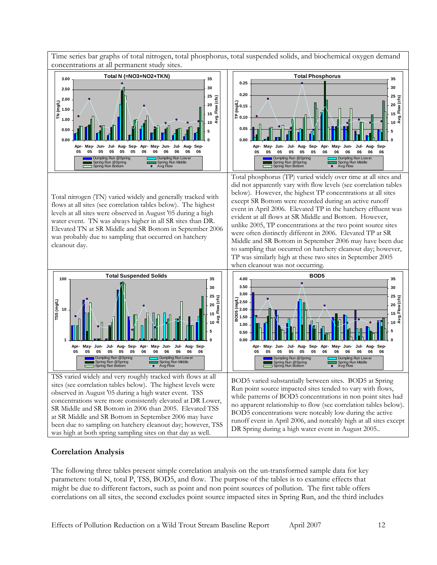<span id="page-11-0"></span>Time series bar graphs of total nitrogen, total phosphorus, total suspended solids, and biochemical oxygen demand concentrations at all permanent study sites.



Total nitrogen (TN) varied widely and generally tracked with levels at all sites were observed in August '05 during a high water event. TN was always higher in all SR sites than DR. Elevated TN at SR Middle and SR Bottom in September 2006 was probably due to sampling that occurred on hatchery cleanout day.



TSS varied widely and very roughly tracked with flows at all concentrations were more consistently elevated at DR Lower, sites (see correlation tables below). The highest levels were observed in August '05 during a high water event. TSS SR Middle and SR Bottom in 2006 than 2005. Elevated TSS at SR Middle and SR Bottom in September 2006 may have been due to sampling on hatchery cleanout day; however, TSS was high at both spring sampling sites on that day as well.



Total phosphorus (TP) varied widely over time at all sites and flows at all sites (see correlation tables below). The highest event in April 2006. Elevated TP in the hatchery effluent was did not apparently vary with flow levels (see correlation tables below). However, the highest TP concentrations at all sites except SR Bottom were recorded during an active runoff evident at all flows at SR Middle and Bottom. However, unlike 2005, TP concentrations at the two point source sites were often distinctly different in 2006. Elevated TP at SR Middle and SR Bottom in September 2006 may have been due to sampling that occurred on hatchery cleanout day; however, TP was similarly high at these two sites in September 2005 when cleanout was not occurring.



BOD5 varied substantially between sites. BOD5 at Spring while patterns of BOD5 concentrations in non point sites had runoff event in April 2006, and noteably high at all sites except Run point source impacted sites tended to vary with flows, no apparent relationship to flow (see correlation tables below). BOD5 concentrations were noteably low during the active DR Spring during a high water event in August 2005..

# **Correlation Analysis**

The following three tables present simple correlation analysis on the un-transformed sample data for key correlations on all sites, the second excludes point source impacted sites in Spring Run, and the third includes parameters: total N, total P, TSS, BOD5, and flow. The purpose of the tables is to examine effects that might be due to different factors, such as point and non point sources of pollution. The first table offers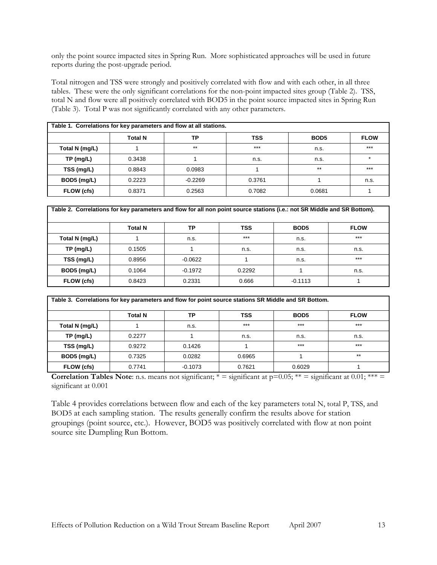only the point source impacted sites in Spring Run. More sophisticated approaches will be used in future reports during the post-upgrade period.

Total nitrogen and TSS were strongly and positively correlated with flow and with each other, in all three tables. These were the only significant correlations for the non-point impacted sites group (Table 2). TSS, total N and flow were all positively correlated with BOD5 in the point source impacted sites in Spring Run (Table 3). Total P was not significantly correlated with any other parameters.

| Table 1. Correlations for key parameters and flow at all stations. |                |           |        |                  |                      |  |  |  |  |  |  |
|--------------------------------------------------------------------|----------------|-----------|--------|------------------|----------------------|--|--|--|--|--|--|
|                                                                    | <b>Total N</b> | ТP        | TSS    | BOD <sub>5</sub> | <b>FLOW</b>          |  |  |  |  |  |  |
| Total N (mg/L)                                                     |                | $***$     | $***$  | n.s.             | $***$                |  |  |  |  |  |  |
| TP (mg/L)                                                          | 0.3438         |           | n.s.   | n.s.             | $\ddot{\phantom{0}}$ |  |  |  |  |  |  |
| TSS (mg/L)                                                         | 0.8843         | 0.0983    |        | $***$            | $***$                |  |  |  |  |  |  |
| BOD5 (mg/L)                                                        | 0.2223         | $-0.2269$ | 0.3761 |                  | n.s.                 |  |  |  |  |  |  |
| FLOW (cfs)                                                         | 0.8371         | 0.2563    | 0.7082 | 0.0681           |                      |  |  |  |  |  |  |

| Table 2. Correlations for key parameters and flow for all non point source stations (i.e.: not SR Middle and SR Bottom). |                |           |        |                  |             |  |  |  |  |  |
|--------------------------------------------------------------------------------------------------------------------------|----------------|-----------|--------|------------------|-------------|--|--|--|--|--|
|                                                                                                                          | <b>Total N</b> | ТP        | TSS    | BOD <sub>5</sub> | <b>FLOW</b> |  |  |  |  |  |
| Total N (mg/L)                                                                                                           |                | n.s.      | $***$  | n.s.             | $***$       |  |  |  |  |  |
| $TP$ (mg/L)                                                                                                              | 0.1505         |           | n.s.   | n.s.             | n.s.        |  |  |  |  |  |
| TSS (mg/L)                                                                                                               | 0.8956         | $-0.0622$ |        | n.s.             | $***$       |  |  |  |  |  |
| BOD5 (mg/L)                                                                                                              | 0.1064         | $-0.1972$ | 0.2292 |                  | n.s.        |  |  |  |  |  |
| FLOW (cfs)                                                                                                               | 0.8423         | 0.2331    | 0.666  | $-0.1113$        |             |  |  |  |  |  |

| Table 3. Correlations for key parameters and flow for point source stations SR Middle and SR Bottom. |                |           |            |                  |             |
|------------------------------------------------------------------------------------------------------|----------------|-----------|------------|------------------|-------------|
|                                                                                                      | <b>Total N</b> | ТP        | <b>TSS</b> | BOD <sub>5</sub> | <b>FLOW</b> |
| Total N (mg/L)                                                                                       |                | n.s.      | $***$      | $***$            | $***$       |
| $TP$ (mg/L)                                                                                          | 0.2277         |           | n.s.       | n.s.             | n.s.        |
| TSS (mg/L)                                                                                           | 0.9272         | 0.1426    |            | $***$            | $***$       |
| BOD5 (mg/L)                                                                                          | 0.7325         | 0.0282    | 0.6965     |                  | $***$       |
| FLOW (cfs)                                                                                           | 0.7741         | $-0.1073$ | 0.7621     | 0.6029           |             |

**Correlation Tables Note**: n.s. means not significant;  $* =$  significant at  $p=0.05$ ;  $** =$  significant at 0.01;  $*** =$ significant at 0.001

Table 4 provides correlations between flow and each of the key parameters total N, total P, TSS, and BOD5 at each sampling station. The results generally confirm the results above for station groupings (point source, etc.). However, BOD5 was positively correlated with flow at non point source site Dumpling Run Bottom.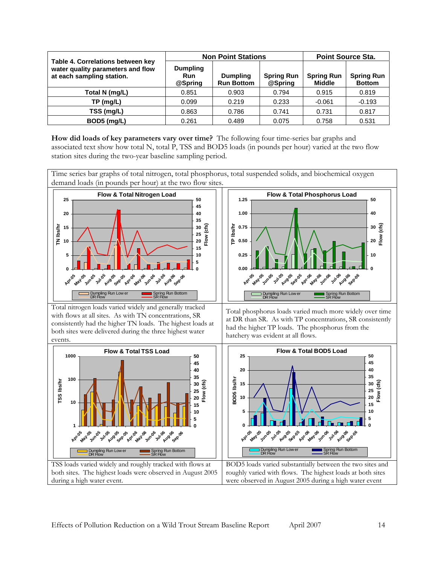<span id="page-13-0"></span>

|                                                                                                     |                                   | <b>Non Point Stations</b>            | <b>Point Source Sta.</b>     |                                    |                                    |
|-----------------------------------------------------------------------------------------------------|-----------------------------------|--------------------------------------|------------------------------|------------------------------------|------------------------------------|
| Table 4. Correlations between key<br>water quality parameters and flow<br>at each sampling station. | <b>Dumpling</b><br>Run<br>@Spring | <b>Dumpling</b><br><b>Run Bottom</b> | <b>Spring Run</b><br>@Spring | <b>Spring Run</b><br><b>Middle</b> | <b>Spring Run</b><br><b>Bottom</b> |
| Total N (mg/L)                                                                                      | 0.851                             | 0.903                                | 0.794                        | 0.915                              | 0.819                              |
| $TP$ (mg/L)                                                                                         | 0.099                             | 0.219                                | 0.233                        | $-0.061$                           | $-0.193$                           |
| TSS (mg/L)                                                                                          | 0.863                             | 0.786                                | 0.741                        | 0.731                              | 0.817                              |
| BOD5 (mg/L)                                                                                         | 0.261                             | 0.489                                | 0.075                        | 0.758                              | 0.531                              |

**How did loads of key parameters vary over time?** The following four time-series bar graphs and associated text show how total N, total P, TSS and BOD5 loads (in pounds per hour) varied at the two flow station sites during the two-year baseline sampling period.

Time series bar graphs of total nitrogen, total phosphorus, total suspended solids, and biochemical oxygen demand loads (in pounds per hour) at the two flow sites.

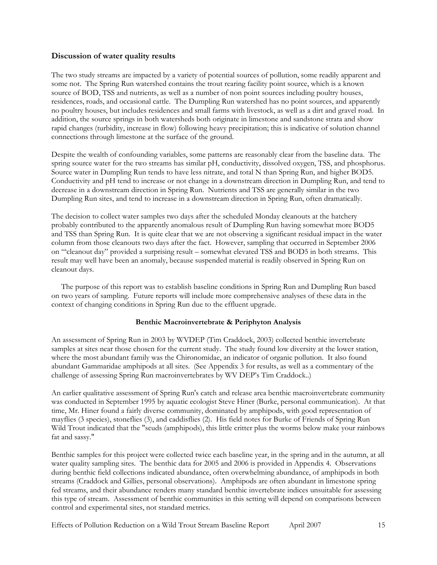# <span id="page-14-0"></span>**Discussion of water quality results**

The two study streams are impacted by a variety of potential sources of pollution, some readily apparent and some not. The Spring Run watershed contains the trout rearing facility point source, which is a known source of BOD, TSS and nutrients, as well as a number of non point sources including poultry houses, residences, roads, and occasional cattle. The Dumpling Run watershed has no point sources, and apparently no poultry houses, but includes residences and small farms with livestock, as well as a dirt and gravel road. In addition, the source springs in both watersheds both originate in limestone and sandstone strata and show rapid changes (turbidity, increase in flow) following heavy precipitation; this is indicative of solution channel connections through limestone at the surface of the ground.

Despite the wealth of confounding variables, some patterns are reasonably clear from the baseline data. The spring source water for the two streams has similar pH, conductivity, dissolved oxygen, TSS, and phosphorus. Source water in Dumpling Run tends to have less nitrate, and total N than Spring Run, and higher BOD5. Conductivity and pH tend to increase or not change in a downstream direction in Dumpling Run, and tend to decrease in a downstream direction in Spring Run. Nutrients and TSS are generally similar in the two Dumpling Run sites, and tend to increase in a downstream direction in Spring Run, often dramatically.

The decision to collect water samples two days after the scheduled Monday cleanouts at the hatchery probably contributed to the apparently anomalous result of Dumpling Run having somewhat more BOD5 and TSS than Spring Run. It is quite clear that we are not observing a significant residual impact in the water column from those cleanouts two days after the fact. However, sampling that occurred in September 2006 on "'cleanout day" provided a surprising result – somewhat elevated TSS and BOD5 in both streams. This result may well have been an anomaly, because suspended material is readily observed in Spring Run on cleanout days.

 The purpose of this report was to establish baseline conditions in Spring Run and Dumpling Run based on two years of sampling. Future reports will include more comprehensive analyses of these data in the context of changing conditions in Spring Run due to the effluent upgrade.

#### **Benthic Macroinvertebrate & Periphyton Analysis**

An assessment of Spring Run in 2003 by WVDEP (Tim Craddock, 2003) collected benthic invertebrate samples at sites near those chosen for the current study. The study found low diversity at the lower station, where the most abundant family was the Chironomidae, an indicator of organic pollution. It also found abundant Gammaridae amphipods at all sites. (See Appendix 3 for results, as well as a commentary of the challenge of assessing Spring Run macroinvertebrates by WV DEP's Tim Craddock..)

An earlier qualitative assessment of Spring Run's catch and release area benthic macroinvertebrate community was conducted in September 1995 by aquatic ecologist Steve Hiner (Burke, personal communication). At that time, Mr. Hiner found a fairly diverse community, dominated by amphipods, with good representation of mayflies (3 species), stoneflies (3), and caddisflies (2). His field notes for Burke of Friends of Spring Run Wild Trout indicated that the "scuds (amphipods), this little critter plus the worms below make your rainbows fat and sassy."

Benthic samples for this project were collected twice each baseline year, in the spring and in the autumn, at all water quality sampling sites. The benthic data for 2005 and 2006 is provided in Appendix 4. Observations during benthic field collections indicated abundance, often overwhelming abundance, of amphipods in both streams (Craddock and Gillies, personal observations). Amphipods are often abundant in limestone spring fed streams, and their abundance renders many standard benthic invertebrate indices unsuitable for assessing this type of stream. Assessment of benthic communities in this setting will depend on comparisons between control and experimental sites, not standard metrics.

Effects of Pollution Reduction on a Wild Trout Stream Baseline Report April 2007 15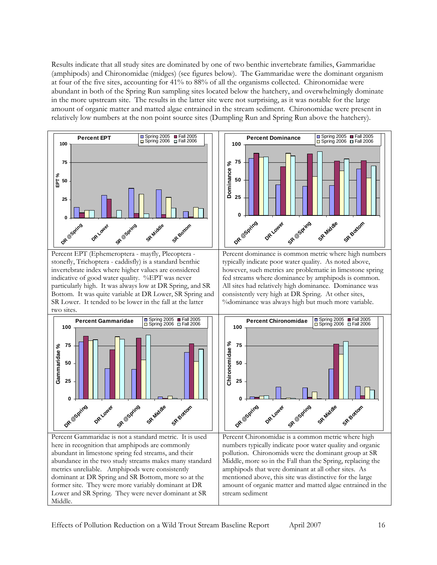Results indicate that all study sites are dominated by one of two benthic invertebrate families, Gammaridae (amphipods) and Chironomidae (midges) (see figures below). The Gammaridae were the dominant organism at four of the five sites, accounting for 41% to 88% of all the organisms collected. Chironomidae were abundant in both of the Spring Run sampling sites located below the hatchery, and overwhelmingly dominate in the more upstream site. The results in the latter site were not surprising, as it was notable for the large amount of organic matter and matted algae entrained in the stream sediment. Chironomidae were present in relatively low numbers at the non point source sites (Dumpling Run and Spring Run above the hatchery).

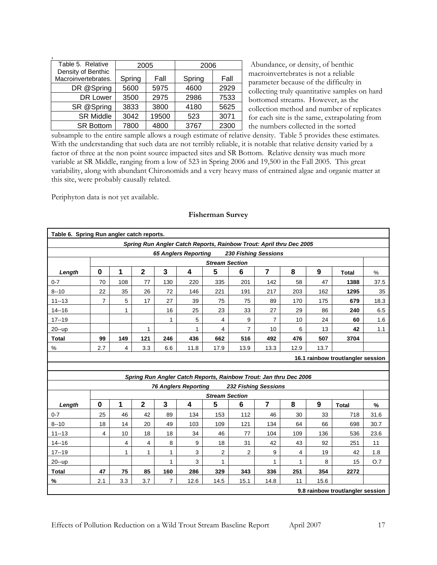<span id="page-16-0"></span>

| Table 5. Relative   | 2005   |       | 2006   |      |  |
|---------------------|--------|-------|--------|------|--|
| Density of Benthic  |        |       |        |      |  |
| Macroinvertebrates. | Spring | Fall  | Spring | Fall |  |
| DR @Spring          | 5600   | 5975  | 4600   | 2929 |  |
| DR Lower            | 3500   | 2975  | 2986   | 7533 |  |
| SR @Spring          | 3833   | 3800  | 4180   | 5625 |  |
| <b>SR Middle</b>    | 3042   | 19500 | 523    | 3071 |  |
| <b>SR Bottom</b>    | 7800   | 4800  | 3767   | 2300 |  |

 Abundance, or density, of benthic macroinvertebrates is not a reliable parameter because of the difficulty in collecting truly quantitative samples on hard bottomed streams. However, as the collection method and number of replicates for each site is the same, extrapolating from the numbers collected in the sorted

subsample to the entire sample allows a rough estimate of relative density. Table 5 provides these estimates. With the understanding that such data are not terribly reliable, it is notable that relative density varied by a factor of three at the non point source impacted sites and SR Bottom. Relative density was much more variable at SR Middle, ranging from a low of 523 in Spring 2006 and 19,500 in the Fall 2005. This great variability, along with abundant Chironomids and a very heavy mass of entrained algae and organic matter at this site, were probably causally related.

Periphyton data is not yet available.

| Table 6. Spring Run angler catch reports.                           |                       |     |                |                |                             |                                                                   |      |                             |      |                  |              |               |  |
|---------------------------------------------------------------------|-----------------------|-----|----------------|----------------|-----------------------------|-------------------------------------------------------------------|------|-----------------------------|------|------------------|--------------|---------------|--|
| Spring Run Angler Catch Reports, Rainbow Trout: April thru Dec 2005 |                       |     |                |                |                             |                                                                   |      |                             |      |                  |              |               |  |
| <b>65 Anglers Reporting</b><br><b>230 Fishing Sessions</b>          |                       |     |                |                |                             |                                                                   |      |                             |      |                  |              |               |  |
|                                                                     | <b>Stream Section</b> |     |                |                |                             |                                                                   |      |                             |      |                  |              |               |  |
| Length                                                              | $\mathbf 0$           | 1   | $\mathbf{2}$   | 3              | 4                           | 5                                                                 | 6    | $\overline{7}$              | 8    | 9                | <b>Total</b> | $\%$          |  |
| $0 - 7$                                                             | 70                    | 108 | 77             | 130            | 220                         | 335                                                               | 201  | 142                         | 58   | 47               | 1388         | 37.5          |  |
| $8 - 10$                                                            | 22                    | 35  | 26             | 72             | 146                         | 221                                                               | 191  | 217                         | 203  | 162              | 1295         | 35            |  |
| $11 - 13$                                                           | $\overline{7}$        | 5   | 17             | 27             | 39                          | 75                                                                | 75   | 89                          | 170  | 175              | 679          | 18.3          |  |
| $14 - 16$                                                           |                       | 1   |                | 16             | 25                          | 23                                                                | 33   | 27                          | 29   | 86               | 240          | 6.5           |  |
| $17 - 19$                                                           |                       |     |                | 1              | 5                           | 4                                                                 | 9    | 7                           | 10   | 24               | 60           | 1.6           |  |
| $20 - up$                                                           |                       |     | 1              |                | 1                           | 4                                                                 | 7    | 10                          | 6    | 13               | 42           | 1.1           |  |
| <b>Total</b>                                                        | 99                    | 149 | 121            | 246            | 436                         | 662                                                               | 516  | 492                         | 476  | 507              | 3704         |               |  |
| %                                                                   | 2.7                   | 4   | 3.3            | 6.6            | 11.8                        | 17.9                                                              | 13.9 | 13.3                        | 12.9 | 13.7             |              |               |  |
| 16.1 rainbow trout/angler session                                   |                       |     |                |                |                             |                                                                   |      |                             |      |                  |              |               |  |
|                                                                     |                       |     |                |                |                             |                                                                   |      |                             |      |                  |              |               |  |
|                                                                     |                       |     |                |                |                             | Spring Run Angler Catch Reports, Rainbow Trout: Jan thru Dec 2006 |      |                             |      |                  |              |               |  |
|                                                                     |                       |     |                |                | <b>76 Anglers Reporting</b> |                                                                   |      | <b>232 Fishing Sessions</b> |      |                  |              |               |  |
|                                                                     |                       |     |                |                |                             | <b>Stream Section</b>                                             |      |                             |      |                  |              |               |  |
| Length                                                              | $\mathbf 0$           | 1   | $\overline{2}$ | 3              | 4                           | 5                                                                 | 6    | $\overline{7}$              | 8    | $\boldsymbol{9}$ | <b>Total</b> | $\frac{9}{6}$ |  |
| $0 - 7$                                                             | 25                    | 46  | 42             | 89             | 134                         | 153                                                               | 112  | 46                          | 30   | 33               | 718          | 31.6          |  |
| $8 - 10$                                                            | 18                    | 14  | 20             | 49             | 103                         | 109                                                               | 121  | 134                         | 64   | 66               | 698          | 30.7          |  |
| $11 - 13$                                                           | $\overline{4}$        | 10  | 18             | 18             | 34                          | 46                                                                | 77   | 104                         | 109  | 136              | 536          | 23.6          |  |
| $14 - 16$                                                           |                       | 4   | 4              | 8              | 9                           | 18                                                                | 31   | 42                          | 43   | 92               | 251          | 11            |  |
| $17 - 19$                                                           |                       | 1   | 1              | 1              | 3                           | 2                                                                 | 2    | 9                           | 4    | 19               | 42           | 1.8           |  |
| 20--up                                                              |                       |     |                | 1              | 3                           | 1                                                                 |      | 1                           | 1    | 8                | 15           | O.7           |  |
| <b>Total</b>                                                        | 47                    | 75  | 85             | 160            | 286                         | 329                                                               | 343  | 336                         | 251  | 354              | 2272         |               |  |
| %                                                                   | 2.1                   | 3.3 | 3.7            | $\overline{7}$ | 12.6                        | 14.5                                                              | 15.1 | 14.8                        | 11   | 15.6             |              |               |  |
| 9.8 rainbow trout/angler session                                    |                       |     |                |                |                             |                                                                   |      |                             |      |                  |              |               |  |

#### **Fisherman Survey**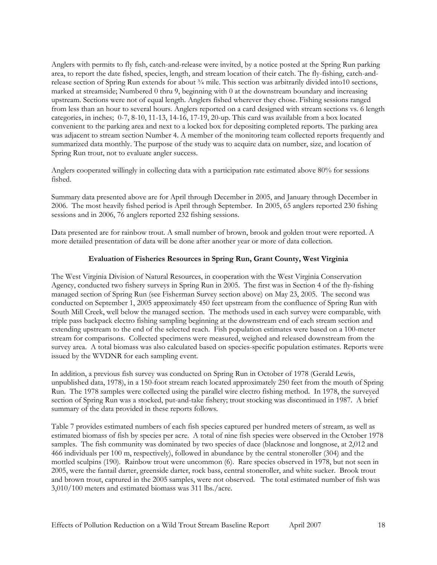<span id="page-17-0"></span>Anglers with permits to fly fish, catch-and-release were invited, by a notice posted at the Spring Run parking area, to report the date fished, species, length, and stream location of their catch. The fly-fishing, catch-andrelease section of Spring Run extends for about  $\frac{3}{4}$  mile. This section was arbitrarily divided into10 sections, marked at streamside; Numbered 0 thru 9, beginning with 0 at the downstream boundary and increasing upstream. Sections were not of equal length. Anglers fished wherever they chose. Fishing sessions ranged from less than an hour to several hours. Anglers reported on a card designed with stream sections vs. 6 length categories, in inches; 0-7, 8-10, 11-13, 14-16, 17-19, 20-up. This card was available from a box located convenient to the parking area and next to a locked box for depositing completed reports. The parking area was adjacent to stream section Number 4. A member of the monitoring team collected reports frequently and summarized data monthly. The purpose of the study was to acquire data on number, size, and location of Spring Run trout, not to evaluate angler success.

Anglers cooperated willingly in collecting data with a participation rate estimated above 80% for sessions fished.

Summary data presented above are for April through December in 2005, and January through December in 2006. The most heavily fished period is April through September. In 2005, 65 anglers reported 230 fishing sessions and in 2006, 76 anglers reported 232 fishing sessions.

Data presented are for rainbow trout. A small number of brown, brook and golden trout were reported. A more detailed presentation of data will be done after another year or more of data collection.

#### **Evaluation of Fisheries Resources in Spring Run, Grant County, West Virginia**

The West Virginia Division of Natural Resources, in cooperation with the West Virginia Conservation Agency, conducted two fishery surveys in Spring Run in 2005. The first was in Section 4 of the fly-fishing managed section of Spring Run (see Fisherman Survey section above) on May 23, 2005. The second was conducted on September 1, 2005 approximately 450 feet upstream from the confluence of Spring Run with South Mill Creek, well below the managed section. The methods used in each survey were comparable, with triple pass backpack electro fishing sampling beginning at the downstream end of each stream section and extending upstream to the end of the selected reach. Fish population estimates were based on a 100-meter stream for comparisons. Collected specimens were measured, weighed and released downstream from the survey area. A total biomass was also calculated based on species-specific population estimates. Reports were issued by the WVDNR for each sampling event.

In addition, a previous fish survey was conducted on Spring Run in October of 1978 (Gerald Lewis, unpublished data, 1978), in a 150-foot stream reach located approximately 250 feet from the mouth of Spring Run. The 1978 samples were collected using the parallel wire electro fishing method. In 1978, the surveyed section of Spring Run was a stocked, put-and-take fishery; trout stocking was discontinued in 1987. A brief summary of the data provided in these reports follows.

Table 7 provides estimated numbers of each fish species captured per hundred meters of stream, as well as estimated biomass of fish by species per acre. A total of nine fish species were observed in the October 1978 samples. The fish community was dominated by two species of dace (blacknose and longnose, at 2,012 and 466 individuals per 100 m, respectively), followed in abundance by the central stoneroller (304) and the mottled sculpins (190). Rainbow trout were uncommon (6). Rare species observed in 1978, but not seen in 2005, were the fantail darter, greenside darter, rock bass, central stoneroller, and white sucker. Brook trout and brown trout, captured in the 2005 samples, were not observed. The total estimated number of fish was 3,010/100 meters and estimated biomass was 311 lbs./acre.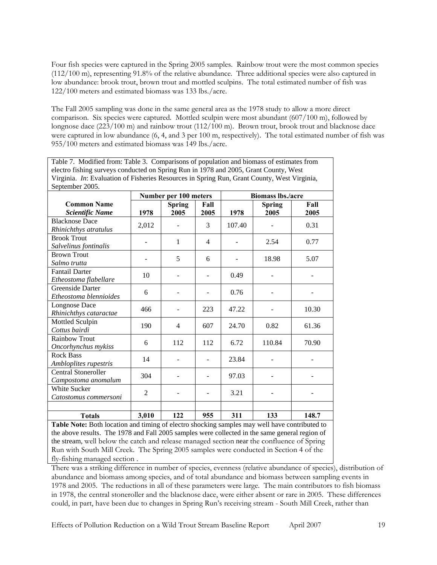Four fish species were captured in the Spring 2005 samples. Rainbow trout were the most common species (112/100 m), representing 91.8% of the relative abundance. Three additional species were also captured in low abundance: brook trout, brown trout and mottled sculpins. The total estimated number of fish was 122/100 meters and estimated biomass was 133 lbs./acre.

The Fall 2005 sampling was done in the same general area as the 1978 study to allow a more direct comparison. Six species were captured. Mottled sculpin were most abundant (607/100 m), followed by longnose dace (223/100 m) and rainbow trout (112/100 m). Brown trout, brook trout and blacknose dace were captured in low abundance (6, 4, and 3 per 100 m, respectively). The total estimated number of fish was 955/100 meters and estimated biomass was 149 lbs./acre.

Table 7. Modified from: Table 3. Comparisons of population and biomass of estimates from electro fishing surveys conducted on Spring Run in 1978 and 2005, Grant County, West Virginia. *In*: Evaluation of Fisheries Resources in Spring Run, Grant County, West Virginia, September 2005.

|                                                   | Number per 100 meters |                       |              | <b>Biomass lbs./acre</b> |                       |              |  |
|---------------------------------------------------|-----------------------|-----------------------|--------------|--------------------------|-----------------------|--------------|--|
| <b>Common Name</b><br><b>Scientific Name</b>      | 1978                  | <b>Spring</b><br>2005 | Fall<br>2005 | 1978                     | <b>Spring</b><br>2005 | Fall<br>2005 |  |
| <b>Blacknose Dace</b><br>Rhinichthys atratulus    | 2,012                 |                       | 3            | 107.40                   |                       | 0.31         |  |
| <b>Brook Trout</b><br>Salvelinus fontinalis       |                       | 1                     | 4            |                          | 2.54                  | 0.77         |  |
| <b>Brown Trout</b><br>Salmo trutta                |                       | 5                     | 6            |                          | 18.98                 | 5.07         |  |
| <b>Fantail Darter</b><br>Etheostoma flabellare    | 10                    |                       |              | 0.49                     |                       |              |  |
| Greenside Darter<br>Etheostoma blennioides        | 6                     |                       |              | 0.76                     |                       |              |  |
| <b>Longnose Dace</b><br>Rhinichthys cataractae    | 466                   |                       | 223          | 47.22                    |                       | 10.30        |  |
| Mottled Sculpin<br>Cottus bairdi                  | 190                   | 4                     | 607          | 24.70                    | 0.82                  | 61.36        |  |
| <b>Rainbow Trout</b><br>Oncorhynchus mykiss       | 6                     | 112                   | 112          | 6.72                     | 110.84                | 70.90        |  |
| <b>Rock Bass</b><br>Ambloplites rupestris         | 14                    |                       |              | 23.84                    |                       |              |  |
| <b>Central Stoneroller</b><br>Campostoma anomalum | 304                   |                       |              | 97.03                    |                       |              |  |
| <b>White Sucker</b><br>Catostomus commersoni      | $\overline{2}$        | -                     |              | 3.21                     |                       |              |  |
| <b>Totals</b>                                     | 3,010                 | 122                   | 955          | 311                      | 133                   | 148.7        |  |

**Table Note:** Both location and timing of electro shocking samples may well have contributed to the above results. The 1978 and Fall 2005 samples were collected in the same general region of the stream, well below the catch and release managed section near the confluence of Spring Run with South Mill Creek. The Spring 2005 samples were conducted in Section 4 of the fly-fishing managed section .

There was a striking difference in number of species, evenness (relative abundance of species), distribution of abundance and biomass among species, and of total abundance and biomass between sampling events in 1978 and 2005. The reductions in all of these parameters were large. The main contributors to fish biomass in 1978, the central stoneroller and the blacknose dace, were either absent or rare in 2005. These differences could, in part, have been due to changes in Spring Run's receiving stream - South Mill Creek, rather than

Effects of Pollution Reduction on a Wild Trout Stream Baseline Report April 2007 19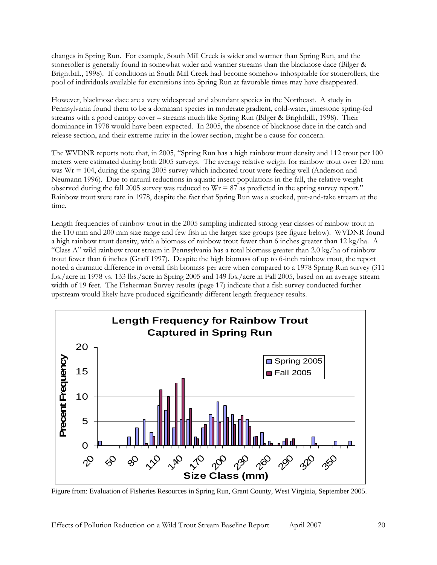changes in Spring Run. For example, South Mill Creek is wider and warmer than Spring Run, and the stoneroller is generally found in somewhat wider and warmer streams than the blacknose dace (Bilger & Brightbill., 1998). If conditions in South Mill Creek had become somehow inhospitable for stonerollers, the pool of individuals available for excursions into Spring Run at favorable times may have disappeared.

However, blacknose dace are a very widespread and abundant species in the Northeast. A study in Pennsylvania found them to be a dominant species in moderate gradient, cold-water, limestone spring-fed streams with a good canopy cover – streams much like Spring Run (Bilger & Brightbill., 1998). Their dominance in 1978 would have been expected. In 2005, the absence of blacknose dace in the catch and release section, and their extreme rarity in the lower section, might be a cause for concern.

The WVDNR reports note that, in 2005, "Spring Run has a high rainbow trout density and 112 trout per 100 meters were estimated during both 2005 surveys. The average relative weight for rainbow trout over 120 mm was  $Wr = 104$ , during the spring 2005 survey which indicated trout were feeding well (Anderson and Neumann 1996). Due to natural reductions in aquatic insect populations in the fall, the relative weight observed during the fall 2005 survey was reduced to  $Wr = 87$  as predicted in the spring survey report." Rainbow trout were rare in 1978, despite the fact that Spring Run was a stocked, put-and-take stream at the time.

Length frequencies of rainbow trout in the 2005 sampling indicated strong year classes of rainbow trout in the 110 mm and 200 mm size range and few fish in the larger size groups (see figure below). WVDNR found a high rainbow trout density, with a biomass of rainbow trout fewer than 6 inches greater than 12 kg/ha. A "Class A" wild rainbow trout stream in Pennsylvania has a total biomass greater than 2.0 kg/ha of rainbow trout fewer than 6 inches (Graff 1997). Despite the high biomass of up to 6-inch rainbow trout, the report noted a dramatic difference in overall fish biomass per acre when compared to a 1978 Spring Run survey (311 lbs./acre in 1978 vs. 133 lbs./acre in Spring 2005 and 149 lbs./acre in Fall 2005, based on an average stream width of 19 feet. The Fisherman Survey results (page 17) indicate that a fish survey conducted further upstream would likely have produced significantly different length frequency results.



Figure from: Evaluation of Fisheries Resources in Spring Run, Grant County, West Virginia, September 2005.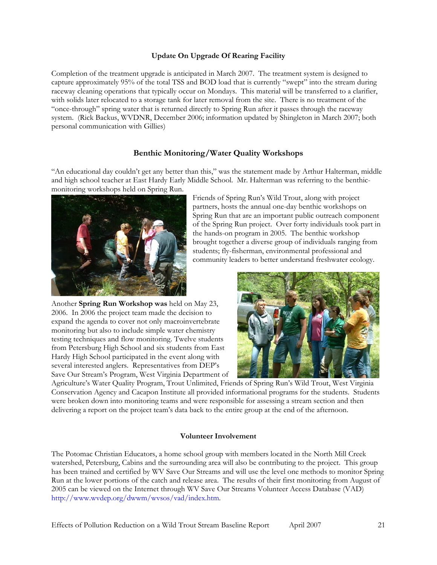# **Update On Upgrade Of Rearing Facility**

<span id="page-20-0"></span>Completion of the treatment upgrade is anticipated in March 2007. The treatment system is designed to capture approximately 95% of the total TSS and BOD load that is currently "swept" into the stream during raceway cleaning operations that typically occur on Mondays. This material will be transferred to a clarifier, with solids later relocated to a storage tank for later removal from the site. There is no treatment of the "once-through" spring water that is returned directly to Spring Run after it passes through the raceway system. (Rick Backus, WVDNR, December 2006; information updated by Shingleton in March 2007; both personal communication with Gillies)

# **Benthic Monitoring/Water Quality Workshops**

"An educational day couldn't get any better than this," was the statement made by Arthur Halterman, middle and high school teacher at East Hardy Early Middle School. Mr. Halterman was referring to the benthicmonitoring workshops held on Spring Run.



Friends of Spring Run's Wild Trout, along with project partners, hosts the annual one-day benthic workshops on Spring Run that are an important public outreach component of the Spring Run project. Over forty individuals took part in the hands-on program in 2005. The benthic workshop brought together a diverse group of individuals ranging from students; fly-fisherman, environmental professional and community leaders to better understand freshwater ecology.

Another **Spring Run Workshop was** held on May 23, 2006. In 2006 the project team made the decision to expand the agenda to cover not only macroinvertebrate monitoring but also to include simple water chemistry testing techniques and flow monitoring. Twelve students from Petersburg High School and six students from East Hardy High School participated in the event along with several interested anglers. Representatives from DEP's Save Our Stream's Program, West Virginia Department of



Agriculture's Water Quality Program, Trout Unlimited, Friends of Spring Run's Wild Trout, West Virginia Conservation Agency and Cacapon Institute all provided informational programs for the students. Students were broken down into monitoring teams and were responsible for assessing a stream section and then delivering a report on the project team's data back to the entire group at the end of the afternoon.

#### **Volunteer Involvement**

The Potomac Christian Educators, a home school group with members located in the North Mill Creek watershed, Petersburg, Cabins and the surrounding area will also be contributing to the project. This group has been trained and certified by WV Save Our Streams and will use the level one methods to monitor Spring Run at the lower portions of the catch and release area. The results of their first monitoring from August of 2005 can be viewed on the Internet through WV Save Our Streams Volunteer Access Database (VAD) <http://www.wvdep.org/dwwm/wvsos/vad/index.htm>.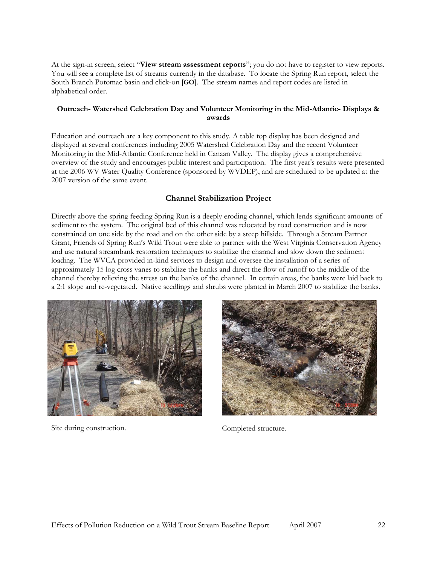<span id="page-21-0"></span>At the sign-in screen, select "**View stream assessment reports**"; you do not have to register to view reports. You will see a complete list of streams currently in the database. To locate the Spring Run report, select the South Branch Potomac basin and click-on [**GO**]. The stream names and report codes are listed in alphabetical order.

# **Outreach- Watershed Celebration Day and Volunteer Monitoring in the Mid-Atlantic- Displays & awards**

Education and outreach are a key component to this study. A table top display has been designed and displayed at several conferences including 2005 Watershed Celebration Day and the recent Volunteer Monitoring in the Mid-Atlantic Conference held in Canaan Valley. The display gives a comprehensive overview of the study and encourages public interest and participation. The first year's results were presented at the 2006 WV Water Quality Conference (sponsored by WVDEP), and are scheduled to be updated at the 2007 version of the same event.

# **Channel Stabilization Project**

Directly above the spring feeding Spring Run is a deeply eroding channel, which lends significant amounts of sediment to the system. The original bed of this channel was relocated by road construction and is now constrained on one side by the road and on the other side by a steep hillside. Through a Stream Partner Grant, Friends of Spring Run's Wild Trout were able to partner with the West Virginia Conservation Agency and use natural streambank restoration techniques to stabilize the channel and slow down the sediment loading. The WVCA provided in-kind services to design and oversee the installation of a series of approximately 15 log cross vanes to stabilize the banks and direct the flow of runoff to the middle of the channel thereby relieving the stress on the banks of the channel. In certain areas, the banks were laid back to a 2:1 slope and re-vegetated. Native seedlings and shrubs were planted in March 2007 to stabilize the banks.



Site during construction. Completed structure.

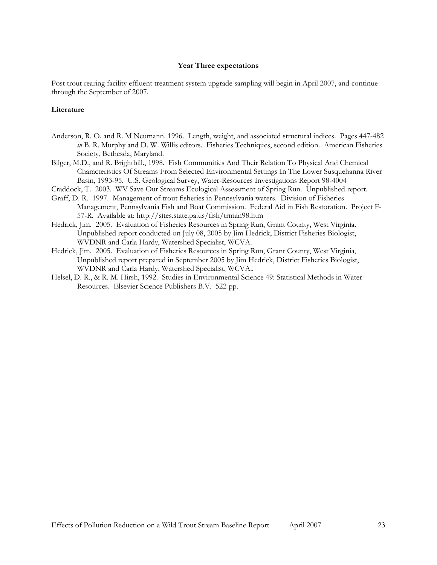#### **Year Three expectations**

<span id="page-22-0"></span>Post trout rearing facility effluent treatment system upgrade sampling will begin in April 2007, and continue through the September of 2007.

#### **Literature**

- Anderson, R. O. and R. M Neumann. 1996. Length, weight, and associated structural indices. Pages 447-482 *in* B. R. Murphy and D. W. Willis editors. Fisheries Techniques, second edition. American Fisheries Society, Bethesda, Maryland.
- Bilger, M.D., and R. Brightbill., 1998. Fish Communities And Their Relation To Physical And Chemical Characteristics Of Streams From Selected Environmental Settings In The Lower Susquehanna River Basin, 1993-95. U.S. Geological Survey, Water-Resources Investigations Report 98-4004
- Craddock, T. 2003. WV Save Our Streams Ecological Assessment of Spring Run. Unpublished report.
- Graff, D. R. 1997. Management of trout fisheries in Pennsylvania waters. Division of Fisheries Management, Pennsylvania Fish and Boat Commission. Federal Aid in Fish Restoration. Project F-57-R. Available at: http://sites.state.pa.us/fish/trman98.htm
- Hedrick, Jim. 2005. Evaluation of Fisheries Resources in Spring Run, Grant County, West Virginia. Unpublished report conducted on July 08, 2005 by Jim Hedrick, District Fisheries Biologist, WVDNR and Carla Hardy, Watershed Specialist, WCVA.
- Hedrick, Jim. 2005. Evaluation of Fisheries Resources in Spring Run, Grant County, West Virginia, Unpublished report prepared in September 2005 by Jim Hedrick, District Fisheries Biologist, WVDNR and Carla Hardy, Watershed Specialist, WCVA..
- Helsel, D. R., & R. M. Hirsh, 1992. Studies in Environmental Science 49: Statistical Methods in Water Resources. Elsevier Science Publishers B.V. 522 pp.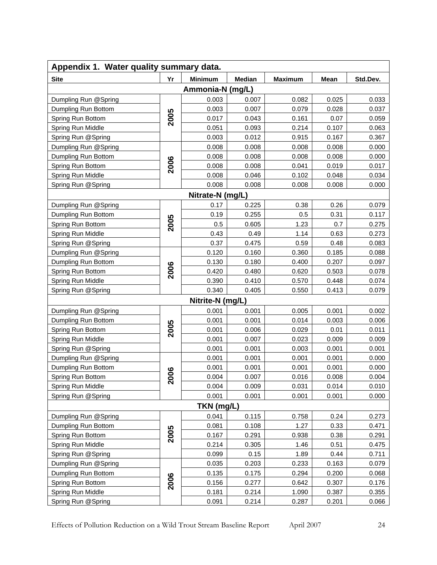<span id="page-23-0"></span>

| Appendix 1. Water quality summary data. |                   |                  |               |                |       |          |  |
|-----------------------------------------|-------------------|------------------|---------------|----------------|-------|----------|--|
| <b>Site</b>                             | Yr                | <b>Minimum</b>   | <b>Median</b> | <b>Maximum</b> | Mean  | Std.Dev. |  |
|                                         |                   | Ammonia-N (mg/L) |               |                |       |          |  |
| Dumpling Run @Spring                    |                   | 0.003            | 0.007         | 0.082          | 0.025 | 0.033    |  |
| Dumpling Run Bottom                     |                   | 0.003            | 0.007         | 0.079          | 0.028 | 0.037    |  |
| Spring Run Bottom                       | 2005              | 0.017            | 0.043         | 0.161          | 0.07  | 0.059    |  |
| Spring Run Middle                       |                   | 0.051            | 0.093         | 0.214          | 0.107 | 0.063    |  |
| Spring Run @Spring                      |                   | 0.003            | 0.012         | 0.915          | 0.167 | 0.367    |  |
| Dumpling Run @Spring                    |                   | 0.008            | 0.008         | 0.008          | 0.008 | 0.000    |  |
| Dumpling Run Bottom                     |                   | 0.008            | 0.008         | 0.008          | 0.008 | 0.000    |  |
| Spring Run Bottom                       | 2006              | 0.008            | 0.008         | 0.041          | 0.019 | 0.017    |  |
| Spring Run Middle                       |                   | 0.008            | 0.046         | 0.102          | 0.048 | 0.034    |  |
| Spring Run @Spring                      |                   | 0.008            | 0.008         | 0.008          | 0.008 | 0.000    |  |
|                                         |                   | Nitrate-N (mg/L) |               |                |       |          |  |
| Dumpling Run @Spring                    |                   | 0.17             | 0.225         | 0.38           | 0.26  | 0.079    |  |
| Dumpling Run Bottom                     |                   | 0.19             | 0.255         | 0.5            | 0.31  | 0.117    |  |
| Spring Run Bottom                       | 2005              | 0.5              | 0.605         | 1.23           | 0.7   | 0.275    |  |
| Spring Run Middle                       |                   | 0.43             | 0.49          | 1.14           | 0.63  | 0.273    |  |
| Spring Run @Spring                      |                   | 0.37             | 0.475         | 0.59           | 0.48  | 0.083    |  |
| Dumpling Run @Spring                    |                   | 0.120            | 0.160         | 0.360          | 0.185 | 0.088    |  |
| Dumpling Run Bottom                     |                   | 0.130            | 0.180         | 0.400          | 0.207 | 0.097    |  |
| Spring Run Bottom                       | 2006              | 0.420            | 0.480         | 0.620          | 0.503 | 0.078    |  |
| Spring Run Middle                       |                   | 0.390            | 0.410         | 0.570          | 0.448 | 0.074    |  |
| Spring Run @Spring                      |                   | 0.340            | 0.405         | 0.550          | 0.413 | 0.079    |  |
|                                         |                   | Nitrite-N (mg/L) |               |                |       |          |  |
| Dumpling Run @Spring                    |                   | 0.001            | 0.001         | 0.005          | 0.001 | 0.002    |  |
| Dumpling Run Bottom                     |                   | 0.001            | 0.001         | 0.014          | 0.003 | 0.006    |  |
| Spring Run Bottom                       | 2005              | 0.001            | 0.006         | 0.029          | 0.01  | 0.011    |  |
| Spring Run Middle                       |                   | 0.001            | 0.007         | 0.023          | 0.009 | 0.009    |  |
| Spring Run @Spring                      |                   | 0.001            | 0.001         | 0.003          | 0.001 | 0.001    |  |
| Dumpling Run @Spring                    |                   | 0.001            | 0.001         | 0.001          | 0.001 | 0.000    |  |
| Dumpling Run Bottom                     |                   | 0.001            | 0.001         | 0.001          | 0.001 | 0.000    |  |
| Spring Run Bottom                       | 800               | 0.004            | 0.007         | 0.016          | 0.008 | 0.004    |  |
| Spring Run Middle                       | $\mathbf{\Omega}$ | 0.004            | 0.009         | 0.031          | 0.014 | 0.010    |  |
| Spring Run @Spring                      |                   | 0.001            | 0.001         | 0.001          | 0.001 | 0.000    |  |
|                                         |                   | TKN (mg/L)       |               |                |       |          |  |
| Dumpling Run @Spring                    |                   | 0.041            | 0.115         | 0.758          | 0.24  | 0.273    |  |
| Dumpling Run Bottom                     |                   | 0.081            | 0.108         | 1.27           | 0.33  | 0.471    |  |
| Spring Run Bottom                       | 2005              | 0.167            | 0.291         | 0.938          | 0.38  | 0.291    |  |
| Spring Run Middle                       |                   | 0.214            | 0.305         | 1.46           | 0.51  | 0.475    |  |
| Spring Run @Spring                      |                   | 0.099            | 0.15          | 1.89           | 0.44  | 0.711    |  |
| Dumpling Run @Spring                    |                   | 0.035            | 0.203         | 0.233          | 0.163 | 0.079    |  |
| Dumpling Run Bottom                     |                   | 0.135            | 0.175         | 0.294          | 0.200 | 0.068    |  |
| Spring Run Bottom                       | 2006              | 0.156            | 0.277         | 0.642          | 0.307 | 0.176    |  |
| Spring Run Middle                       |                   | 0.181            | 0.214         | 1.090          | 0.387 | 0.355    |  |
| Spring Run @Spring                      |                   | 0.091            | 0.214         | 0.287          | 0.201 | 0.066    |  |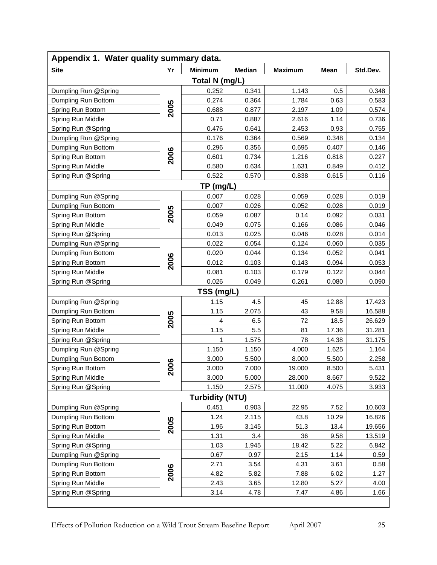| Appendix 1. Water quality summary data. |          |                        |               |                |       |          |  |
|-----------------------------------------|----------|------------------------|---------------|----------------|-------|----------|--|
| <b>Site</b>                             | Yr       | <b>Minimum</b>         | <b>Median</b> | <b>Maximum</b> | Mean  | Std.Dev. |  |
|                                         |          | Total N (mg/L)         |               |                |       |          |  |
| Dumpling Run @Spring                    |          | 0.252                  | 0.341         | 1.143          | 0.5   | 0.348    |  |
| Dumpling Run Bottom                     |          | 0.274                  | 0.364         | 1.784          | 0.63  | 0.583    |  |
| Spring Run Bottom                       | 2005     | 0.688                  | 0.877         | 2.197          | 1.09  | 0.574    |  |
| Spring Run Middle                       |          | 0.71                   | 0.887         | 2.616          | 1.14  | 0.736    |  |
| Spring Run @Spring                      |          | 0.476                  | 0.641         | 2.453          | 0.93  | 0.755    |  |
| Dumpling Run @Spring                    |          | 0.176                  | 0.364         | 0.569          | 0.348 | 0.134    |  |
| Dumpling Run Bottom                     |          | 0.296                  | 0.356         | 0.695          | 0.407 | 0.146    |  |
| Spring Run Bottom                       | 2006     | 0.601                  | 0.734         | 1.216          | 0.818 | 0.227    |  |
| Spring Run Middle                       |          | 0.580                  | 0.634         | 1.631          | 0.849 | 0.412    |  |
| Spring Run @Spring                      |          | 0.522                  | 0.570         | 0.838          | 0.615 | 0.116    |  |
|                                         |          | TP (mg/L)              |               |                |       |          |  |
| Dumpling Run @Spring                    |          | 0.007                  | 0.028         | 0.059          | 0.028 | 0.019    |  |
| Dumpling Run Bottom                     |          | 0.007                  | 0.026         | 0.052          | 0.028 | 0.019    |  |
| Spring Run Bottom                       | 2005     | 0.059                  | 0.087         | 0.14           | 0.092 | 0.031    |  |
| Spring Run Middle                       |          | 0.049                  | 0.075         | 0.166          | 0.086 | 0.046    |  |
| Spring Run @Spring                      |          | 0.013                  | 0.025         | 0.046          | 0.028 | 0.014    |  |
| Dumpling Run @Spring                    |          | 0.022                  | 0.054         | 0.124          | 0.060 | 0.035    |  |
| Dumpling Run Bottom                     |          | 0.020                  | 0.044         | 0.134          | 0.052 | 0.041    |  |
| Spring Run Bottom                       | 2006     | 0.012                  | 0.103         | 0.143          | 0.094 | 0.053    |  |
| Spring Run Middle                       |          | 0.081                  | 0.103         | 0.179          | 0.122 | 0.044    |  |
| Spring Run @Spring                      |          | 0.026                  | 0.049         | 0.261          | 0.080 | 0.090    |  |
|                                         |          | TSS (mg/L)             |               |                |       |          |  |
| Dumpling Run @Spring                    |          | 1.15                   | 4.5           | 45             | 12.88 | 17.423   |  |
| Dumpling Run Bottom                     |          | 1.15                   | 2.075         | 43             | 9.58  | 16.588   |  |
| Spring Run Bottom                       | 2005     | 4                      | 6.5           | 72             | 18.5  | 26.629   |  |
| Spring Run Middle                       |          | 1.15                   | 5.5           | 81             | 17.36 | 31.281   |  |
| Spring Run @Spring                      |          |                        | 1.575         | 78             | 14.38 | 31.175   |  |
| Dumpling Run @Spring                    |          | 1.150                  | 1.150         | 4.000          | 1.625 | 1.164    |  |
| Dumpling Run Bottom                     |          | 3.000                  | 5.500         | 8.000          | 5.500 | 2.258    |  |
| Spring Run Bottom                       | 800<br>N | 3.000                  | 7.000         | 19.000         | 8.500 | 5.431    |  |
| Spring Run Middle                       |          | 3.000                  | 5.000         | 28.000         | 8.667 | 9.522    |  |
| Spring Run @Spring                      |          | 1.150                  | 2.575         | 11.000         | 4.075 | 3.933    |  |
|                                         |          | <b>Turbidity (NTU)</b> |               |                |       |          |  |
| Dumpling Run @Spring                    |          | 0.451                  | 0.903         | 22.95          | 7.52  | 10.603   |  |
| Dumpling Run Bottom                     |          | 1.24                   | 2.115         | 43.8           | 10.29 | 16.826   |  |
| Spring Run Bottom                       | 2005     | 1.96                   | 3.145         | 51.3           | 13.4  | 19.656   |  |
| Spring Run Middle                       |          | 1.31                   | 3.4           | 36             | 9.58  | 13.519   |  |
| Spring Run @Spring                      |          | 1.03                   | 1.945         | 18.42          | 5.22  | 6.842    |  |
| Dumpling Run @Spring                    |          | 0.67                   | 0.97          | 2.15           | 1.14  | 0.59     |  |
| Dumpling Run Bottom                     |          | 2.71                   | 3.54          | 4.31           | 3.61  | 0.58     |  |
| Spring Run Bottom                       | 2006     | 4.82                   | 5.82          | 7.88           | 6.02  | 1.27     |  |
| Spring Run Middle                       |          | 2.43                   | 3.65          | 12.80          | 5.27  | 4.00     |  |
| Spring Run @Spring                      |          | 3.14                   | 4.78          | 7.47           | 4.86  | 1.66     |  |
|                                         |          |                        |               |                |       |          |  |

Effects of Pollution Reduction on a Wild Trout Stream Baseline Report April 2007 25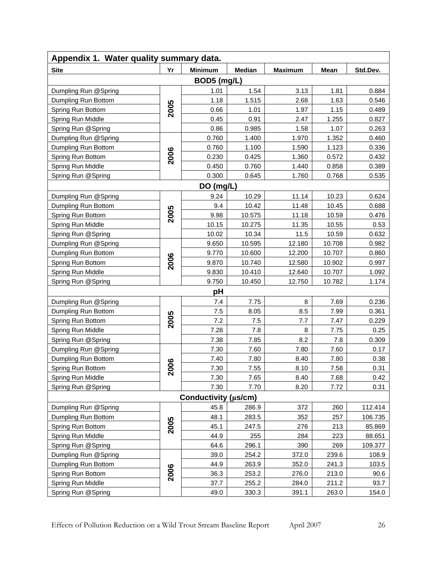| Appendix 1. Water quality summary data. |      |                      |               |                |        |          |  |
|-----------------------------------------|------|----------------------|---------------|----------------|--------|----------|--|
| <b>Site</b>                             | Yr   | <b>Minimum</b>       | <b>Median</b> | <b>Maximum</b> | Mean   | Std.Dev. |  |
|                                         |      | BOD5 (mg/L)          |               |                |        |          |  |
| Dumpling Run @Spring                    |      | 1.01                 | 1.54          | 3.13           | 1.81   | 0.884    |  |
| Dumpling Run Bottom                     |      | 1.18                 | 1.515         | 2.68           | 1.63   | 0.546    |  |
| Spring Run Bottom                       | 2005 | 0.66                 | 1.01          | 1.97           | 1.15   | 0.489    |  |
| Spring Run Middle                       |      | 0.45                 | 0.91          | 2.47           | 1.255  | 0.827    |  |
| Spring Run @Spring                      |      | 0.86                 | 0.985         | 1.58           | 1.07   | 0.263    |  |
| Dumpling Run @Spring                    |      | 0.760                | 1.400         | 1.970          | 1.352  | 0.460    |  |
| Dumpling Run Bottom                     |      | 0.760                | 1.100         | 1.590          | 1.123  | 0.336    |  |
| Spring Run Bottom                       | 2006 | 0.230                | 0.425         | 1.360          | 0.572  | 0.432    |  |
| Spring Run Middle                       |      | 0.450                | 0.760         | 1.440          | 0.858  | 0.389    |  |
| Spring Run @Spring                      |      | 0.300                | 0.645         | 1.760          | 0.768  | 0.535    |  |
|                                         |      | DO (mg/L)            |               |                |        |          |  |
| Dumpling Run @Spring                    |      | 9.24                 | 10.29         | 11.14          | 10.23  | 0.624    |  |
| Dumpling Run Bottom                     |      | 9.4                  | 10.42         | 11.48          | 10.45  | 0.688    |  |
| Spring Run Bottom                       | 2005 | 9.98                 | 10.575        | 11.18          | 10.59  | 0.476    |  |
| Spring Run Middle                       |      | 10.15                | 10.275        | 11.35          | 10.55  | 0.53     |  |
| Spring Run @Spring                      |      | 10.02                | 10.34         | 11.5           | 10.59  | 0.632    |  |
| Dumpling Run @Spring                    |      | 9.650                | 10.595        | 12.180         | 10.708 | 0.982    |  |
| Dumpling Run Bottom                     |      | 9.770                | 10.600        | 12.200         | 10.707 | 0.860    |  |
| Spring Run Bottom                       | 2006 | 9.870                | 10.740        | 12.580         | 10.902 | 0.997    |  |
| Spring Run Middle                       |      | 9.830                | 10.410        | 12.640         | 10.707 | 1.092    |  |
| Spring Run @Spring                      |      | 9.750                | 10.450        | 12.750         | 10.782 | 1.174    |  |
|                                         |      | рH                   |               |                |        |          |  |
| Dumpling Run @Spring                    |      | 7.4                  | 7.75          | 8              | 7.69   | 0.236    |  |
| Dumpling Run Bottom                     |      | $7.5\,$              | 8.05          | 8.5            | 7.99   | 0.361    |  |
| Spring Run Bottom                       | 2005 | 7.2                  | 7.5           | 7.7            | 7.47   | 0.229    |  |
| Spring Run Middle                       |      | 7.28                 | 7.8           | 8              | 7.75   | 0.25     |  |
| Spring Run @Spring                      |      | 7.38                 | 7.85          | 8.2            | 7.8    | 0.309    |  |
| Dumpling Run @Spring                    |      | 7.30                 | 7.60          | 7.80           | 7.60   | 0.17     |  |
| Dumpling Run Bottom                     |      | 7.40                 | 7.80          | 8.40           | 7.80   | 0.38     |  |
| Spring Run Bottom                       | 800  | 7.30                 | 7.55          | 8.10           | 7.58   | 0.31     |  |
| Spring Run Middle                       | N    | 7.30                 | 7.65          | 8.40           | 7.68   | 0.42     |  |
| Spring Run @Spring                      |      | 7.30                 | 7.70          | 8.20           | 7.72   | 0.31     |  |
|                                         |      | Conductivity (µs/cm) |               |                |        |          |  |
| Dumpling Run @Spring                    |      | 45.8                 | 286.9         | 372            | 260    | 112.414  |  |
| Dumpling Run Bottom                     |      | 48.1                 | 283.5         | 352            | 257    | 106.735  |  |
| Spring Run Bottom                       | 2005 | 45.1                 | 247.5         | 276            | 213    | 85.869   |  |
| Spring Run Middle                       |      | 44.9                 | 255           | 284            | 223    | 88.651   |  |
| Spring Run @Spring                      |      | 64.6                 | 296.1         | 390            | 269    | 109.377  |  |
| Dumpling Run @Spring                    |      | 39.0                 | 254.2         | 372.0          | 239.6  | 108.9    |  |
| Dumpling Run Bottom                     |      | 44.9                 | 263.9         | 352.0          | 241.3  | 103.5    |  |
| Spring Run Bottom                       | 2006 | 36.3                 | 253.2         | 276.0          | 213.0  | 90.6     |  |
| Spring Run Middle                       |      | 37.7                 | 255.2         | 284.0          | 211.2  | 93.7     |  |
| Spring Run @Spring                      |      | 49.0                 | 330.3         | 391.1          | 263.0  | 154.0    |  |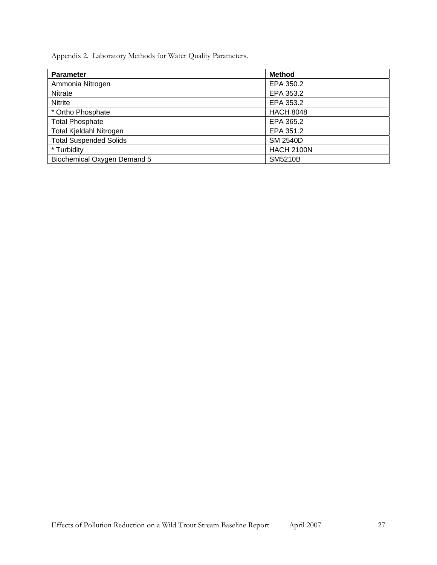<span id="page-26-0"></span>Appendix 2. Laboratory Methods for Water Quality Parameters.

| <b>Parameter</b>               | <b>Method</b>     |
|--------------------------------|-------------------|
| Ammonia Nitrogen               | EPA 350.2         |
| <b>Nitrate</b>                 | EPA 353.2         |
| <b>Nitrite</b>                 | EPA 353.2         |
| * Ortho Phosphate              | <b>HACH 8048</b>  |
| <b>Total Phosphate</b>         | EPA 365.2         |
| <b>Total Kjeldahl Nitrogen</b> | EPA 351.2         |
| <b>Total Suspended Solids</b>  | <b>SM 2540D</b>   |
| * Turbidity                    | <b>HACH 2100N</b> |
| Biochemical Oxygen Demand 5    | <b>SM5210B</b>    |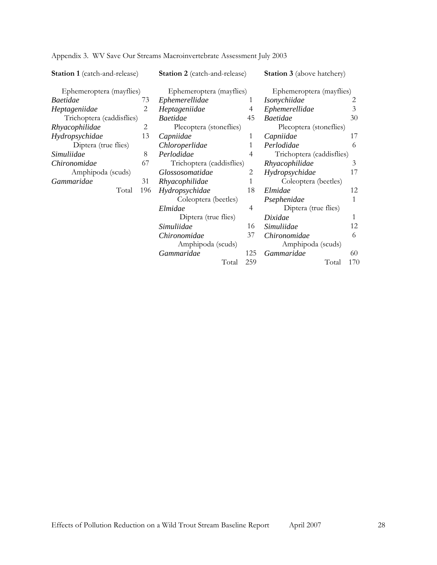| <b>Station 1</b> (catch-and-release) |              | <b>Station 2</b> (catch-and-release) |     | <b>Station 3</b> (above hatchery) |     |
|--------------------------------------|--------------|--------------------------------------|-----|-----------------------------------|-----|
| Ephemeroptera (mayflies)             |              | Ephemeroptera (mayflies)             |     | Ephemeroptera (mayflies)          |     |
| <i>Baetidae</i>                      | 73           | Ephemerellidae                       | 1   | Isonychiidae                      | 2   |
| Heptageniidae                        | 2            | Heptageniidae                        | 4   | Ephemerellidae                    | 3   |
| Trichoptera (caddisflies)            |              | <b>Baetidae</b>                      | 45  | <b>Baetidae</b>                   | 30  |
| Rhyacophilidae                       | 2            | Plecoptera (stoneflies)              |     | Plecoptera (stoneflies)           |     |
| Hydropsychidae                       | 13           | Capniidae                            | 1   | Capniidae                         | 17  |
| Diptera (true flies)                 |              | Chloroperlidae                       | 1   | Perlodidae                        | 6   |
| Simuliidae                           | 8            | Perlodidae                           | 4   | Trichoptera (caddisflies)         |     |
| Chironomidae                         | 67           | Trichoptera (caddisflies)            |     | Rhyacophilidae                    | 3   |
| Amphipoda (scuds)                    |              | Glossosomatidae                      | 2   | Hydropsychidae                    | 17  |
| Gammaridae                           | 31           | Rhyacophilidae                       | 1   | Coleoptera (beetles)              |     |
|                                      | Total<br>196 | Hydropsychidae                       | 18  | Elmidae                           | 12  |
|                                      |              | Coleoptera (beetles)                 |     | Psephenidae                       | 1   |
|                                      |              | Elmidae                              | 4   | Diptera (true flies)              |     |
|                                      |              | Diptera (true flies)                 |     | Dixidae                           | 1   |
|                                      |              | Simuliidae                           | 16  | Simuliidae                        | 12  |
|                                      |              | Chironomidae                         | 37  | Chironomidae                      | 6   |
|                                      |              | Amphipoda (scuds)                    |     | Amphipoda (scuds)                 |     |
|                                      |              | Gammaridae                           | 125 | Gammaridae                        | 60  |
|                                      |              | Total                                | 259 | Total                             | 170 |

<span id="page-27-0"></span>Appendix 3. WV Save Our Streams Macroinvertebrate Assessment July 2003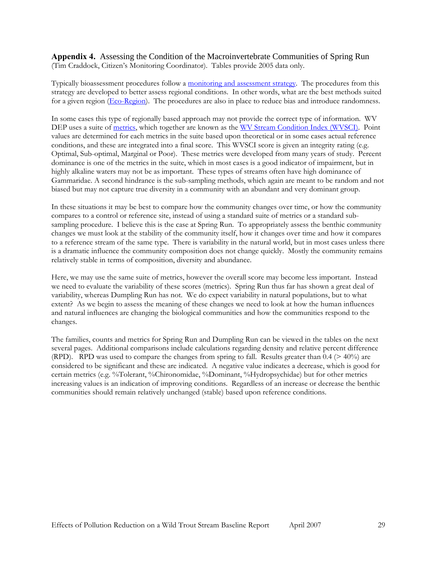<span id="page-28-0"></span>**Appendix 4.** Assessing the Condition of the Macroinvertebrate Communities of Spring Run (Tim Craddock, Citizen's Monitoring Coordinator). Tables provide 2005 data only.

Typically bioassessment procedures follow a [monitoring and assessment strategy.](http://www.wvdep.org/show_blob.cfm?ID=6964&Name=WVmonitoringstrategy.pdf) The procedures from this strategy are developed to better assess regional conditions. In other words, what are the best methods suited for a given region [\(Eco-Region](http://www.wvdep.org/images/l4eco.jpg)). The procedures are also in place to reduce bias and introduce randomness.

In some cases this type of regionally based approach may not provide the correct type of information. WV DEP uses a suite of [metrics,](http://www.epa.gov/volunteer/stream/108.html) which together are known as the [WV Stream Condition Index \(WVSCI\).](http://www.wvdep.org/show_blob.cfm?id=536&name=WV-Index.pdf) Point values are determined for each metrics in the suite based upon theoretical or in some cases actual reference conditions, and these are integrated into a final score. This WVSCI score is given an integrity rating (e.g. Optimal, Sub-optimal, Marginal or Poor). These metrics were developed from many years of study. Percent dominance is one of the metrics in the suite, which in most cases is a good indicator of impairment, but in highly alkaline waters may not be as important. These types of streams often have high dominance of Gammaridae. A second hindrance is the sub-sampling methods, which again are meant to be random and not biased but may not capture true diversity in a community with an abundant and very dominant group.

In these situations it may be best to compare how the community changes over time, or how the community compares to a control or reference site, instead of using a standard suite of metrics or a standard subsampling procedure. I believe this is the case at Spring Run. To appropriately assess the benthic community changes we must look at the stability of the community itself, how it changes over time and how it compares to a reference stream of the same type. There is variability in the natural world, but in most cases unless there is a dramatic influence the community composition does not change quickly. Mostly the community remains relatively stable in terms of composition, diversity and abundance.

Here, we may use the same suite of metrics, however the overall score may become less important. Instead we need to evaluate the variability of these scores (metrics). Spring Run thus far has shown a great deal of variability, whereas Dumpling Run has not. We do expect variability in natural populations, but to what extent? As we begin to assess the meaning of these changes we need to look at how the human influences and natural influences are changing the biological communities and how the communities respond to the changes.

The families, counts and metrics for Spring Run and Dumpling Run can be viewed in the tables on the next several pages. Additional comparisons include calculations regarding density and relative percent difference (RPD). RPD was used to compare the changes from spring to fall. Results greater than 0.4 (> 40%) are considered to be significant and these are indicated. A negative value indicates a decrease, which is good for certain metrics (e.g. %Tolerant, %Chironomidae, %Dominant, %Hydropsychidae) but for other metrics increasing values is an indication of improving conditions. Regardless of an increase or decrease the benthic communities should remain relatively unchanged (stable) based upon reference conditions.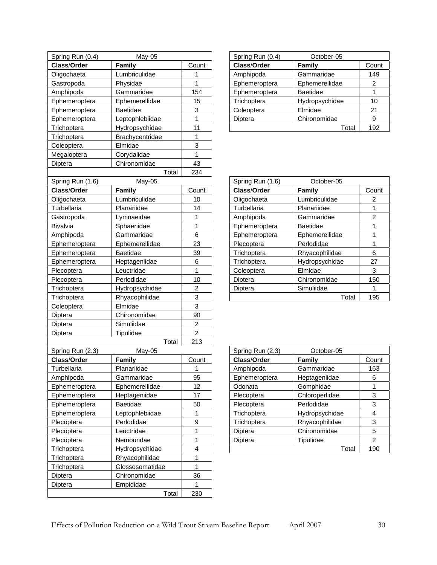| Spring Run (0.4) | May-05          |                | Spring Run (0.4) | October-05      |                           |
|------------------|-----------------|----------------|------------------|-----------------|---------------------------|
| Class/Order      | <b>Family</b>   | Count          | Class/Order      | Family          | Count                     |
| Oligochaeta      | Lumbriculidae   | 1              | Amphipoda        | Gammaridae      | 149                       |
| Gastropoda       | Physidae        | 1              | Ephemeroptera    | Ephemerellidae  | $\overline{c}$            |
| Amphipoda        | Gammaridae      | 154            | Ephemeroptera    | <b>Baetidae</b> | 1                         |
| Ephemeroptera    | Ephemerellidae  | 15             | Trichoptera      | Hydropsychidae  | 10                        |
| Ephemeroptera    | Baetidae        | 3              | Coleoptera       | Elmidae         | 21                        |
| Ephemeroptera    | Leptophlebiidae | $\overline{1}$ | Diptera          | Chironomidae    | 9                         |
| Trichoptera      | Hydropsychidae  | 11             |                  | Total           | 192                       |
| Trichoptera      | Brachycentridae | 1              |                  |                 |                           |
| Coleoptera       | Elmidae         | 3              |                  |                 |                           |
| Megaloptera      | Corydalidae     | 1              |                  |                 |                           |
| Diptera          | Chironomidae    | 43             |                  |                 |                           |
|                  | Total           | 234            |                  |                 |                           |
| Spring Run (1.6) | May-05          |                | Spring Run (1.6) | October-05      |                           |
| Class/Order      | Family          | Count          | Class/Order      | <b>Family</b>   | Count                     |
| Oligochaeta      | Lumbriculidae   | 10             | Oligochaeta      | Lumbriculidae   | $\overline{c}$            |
| Turbellaria      | Planariidae     | 14             | Turbellaria      | Planariidae     | 1                         |
| Gastropoda       | Lymnaeidae      | 1              | Amphipoda        | Gammaridae      | $\overline{c}$            |
| Bivalvia         | Sphaeriidae     | $\mathbf{1}$   | Ephemeroptera    | <b>Baetidae</b> | 1                         |
| Amphipoda        | Gammaridae      | 6              | Ephemeroptera    | Ephemerellidae  | $\mathbf 1$               |
| Ephemeroptera    | Ephemerellidae  | 23             | Plecoptera       | Perlodidae      | $\mathbf 1$               |
| Ephemeroptera    | <b>Baetidae</b> | 39             | Trichoptera      | Rhyacophilidae  | 6                         |
| Ephemeroptera    | Heptageniidae   | 6              | Trichoptera      | Hydropsychidae  | 27                        |
| Plecoptera       | Leuctridae      | 1              | Coleoptera       | Elmidae         | 3                         |
| Plecoptera       | Perlodidae      | 10             | Diptera          | Chironomidae    | 150                       |
| Trichoptera      | Hydropsychidae  | $\overline{c}$ | Diptera          | Simuliidae      | 1                         |
| Trichoptera      | Rhyacophilidae  | 3              |                  | Total           | 195                       |
| Coleoptera       | Elmidae         | 3              |                  |                 |                           |
| Diptera          | Chironomidae    | 90             |                  |                 |                           |
| Diptera          | Simuliidae      | $\overline{a}$ |                  |                 |                           |
| Diptera          | Tipulidae       | $\overline{2}$ |                  |                 |                           |
|                  | Total           | 213            |                  |                 |                           |
| Spring Run (2.3) | May-05          |                | Spring Run (2.3) | October-05      |                           |
| Class/Order      | Family          | Count          | Class/Order      | <b>Family</b>   | Count                     |
| Turbellaria      | Planariidae     | 1              | Amphipoda        | Gammaridae      | 163                       |
| Amphipoda        | Gammaridae      | 95             | Ephemeroptera    | Heptageniidae   | 6                         |
| Ephemeroptera    | Ephemerellidae  | 12             | Odonata          | Gomphidae       | 1                         |
| Ephemeroptera    | Heptageniidae   | 17             | Plecoptera       | Chloroperlidae  | 3                         |
| Ephemeroptera    | Baetidae        | 50             | Plecoptera       | Perlodidae      | $\ensuremath{\mathsf{3}}$ |
| Ephemeroptera    | Leptophlebiidae | 1              | Trichoptera      | Hydropsychidae  | 4                         |
| Plecoptera       | Perlodidae      | 9              | Trichoptera      | Rhyacophilidae  | 3                         |
| Plecoptera       | Leuctridae      | 1              | Diptera          | Chironomidae    | 5                         |
| Plecoptera       | Nemouridae      | $\mathbf 1$    | Diptera          | Tipulidae       | $\overline{c}$            |
| Trichoptera      | Hydropsychidae  | 4              |                  | Total           | 190                       |
| Trichoptera      | Rhyacophilidae  | $\mathbf 1$    |                  |                 |                           |
| Trichoptera      | Glossosomatidae | $\mathbf{1}$   |                  |                 |                           |
| Diptera          | Chironomidae    | 36             |                  |                 |                           |
| Diptera          | Empididae       | 1              |                  |                 |                           |
|                  | Total           | 230            |                  |                 |                           |

| Spring Run (0.4) | October-05      |       |
|------------------|-----------------|-------|
| Class/Order      | Family          | Count |
| Amphipoda        | Gammaridae      | 149   |
| Ephemeroptera    | Ephemerellidae  | 2     |
| Ephemeroptera    | <b>Baetidae</b> |       |
| Trichoptera      | Hydropsychidae  | 10    |
| Coleoptera       | Elmidae         | 21    |
| Diptera          | Chironomidae    | 9     |
|                  | Total           | 192   |

| Spring Run (1.6) | October-05      |       |
|------------------|-----------------|-------|
| Class/Order      | Family          | Count |
| Oligochaeta      | Lumbriculidae   | 2     |
| Turbellaria      | Planariidae     |       |
| Amphipoda        | Gammaridae      | 2     |
| Ephemeroptera    | <b>Baetidae</b> | 1     |
| Ephemeroptera    | Ephemerellidae  |       |
| Plecoptera       | Perlodidae      | 1     |
| Trichoptera      | Rhyacophilidae  | 6     |
| Trichoptera      | Hydropsychidae  | 27    |
| Coleoptera       | Elmidae         | 3     |
| Diptera          | Chironomidae    | 150   |
| Diptera          | Simuliidae      |       |
|                  | Total           | 195   |

| Spring Run (2.3)<br>October-05 |                |                |  |
|--------------------------------|----------------|----------------|--|
| Class/Order                    | Family         | Count          |  |
| Amphipoda                      | Gammaridae     | 163            |  |
| Ephemeroptera                  | Heptageniidae  | 6              |  |
| Odonata                        | Gomphidae      | 1              |  |
| Plecoptera                     | Chloroperlidae | 3              |  |
| Plecoptera                     | Perlodidae     | 3              |  |
| Trichoptera                    | Hydropsychidae | 4              |  |
| Trichoptera                    | Rhyacophilidae | 3              |  |
| Diptera                        | Chironomidae   | 5              |  |
| Diptera                        | Tipulidae      | $\mathfrak{p}$ |  |
|                                | Total          | 190            |  |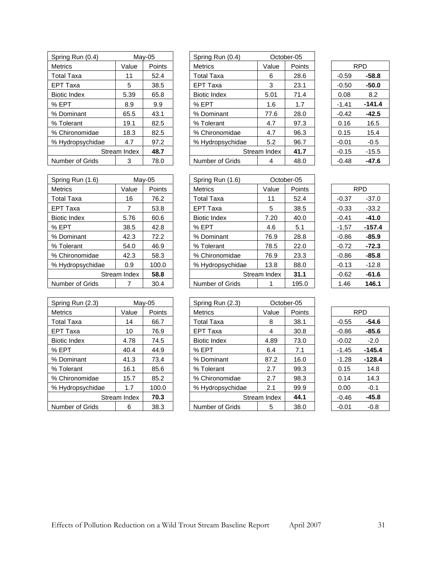| Spring Run (0.4)    |              | May-05 | Spring Run (0.4)    |              | October-05 |
|---------------------|--------------|--------|---------------------|--------------|------------|
| <b>Metrics</b>      | Value        | Points | <b>Metrics</b>      | Value        | Poin       |
| <b>Total Taxa</b>   | 11           | 52.4   | <b>Total Taxa</b>   | 6            | 28.6       |
| <b>EPT Taxa</b>     | 5            | 38.5   | <b>EPT Taxa</b>     | 3            | 23.7       |
| <b>Biotic Index</b> | 5.39         | 65.8   | <b>Biotic Index</b> | 5.01         | 71.4       |
| % EPT               | 8.9          | 9.9    | % EPT               | 1.6          | 1.7        |
| % Dominant          | 65.5         | 43.1   | % Dominant          | 77.6         | 28.0       |
| % Tolerant          | 19.1         | 82.5   | % Tolerant          | 4.7          | 97:        |
| % Chironomidae      | 18.3         | 82.5   | % Chironomidae      | 4.7          | 96.3       |
| % Hydropsychidae    | 4.7          | 97.2   | % Hydropsychidae    | 5.2          | 96.7       |
|                     | Stream Index | 48.7   |                     | Stream Index | 41.7       |
| Number of Grids     | 3            | 78.0   | Number of Grids     | 4            | 48.        |

| Spring Run (1.6)  | $Mav-05$     |        | Spring Run (1.6)    |              | October-05 |         |            |
|-------------------|--------------|--------|---------------------|--------------|------------|---------|------------|
| <b>Metrics</b>    | Value        | Points | <b>Metrics</b>      | Value        | Points     |         | <b>RPD</b> |
| <b>Total Taxa</b> | 16           | 76.2   | <b>Total Taxa</b>   | 11           | 52.4       | $-0.37$ | $-37.0$    |
| <b>EPT Taxa</b>   | 7            | 53.8   | <b>EPT Taxa</b>     | 5            | 38.5       | $-0.33$ | $-33.2$    |
| Biotic Index      | 5.76         | 60.6   | <b>Biotic Index</b> | 7.20         | 40.0       | $-0.41$ | $-41.0$    |
| % EPT             | 38.5         | 42.8   | % EPT               | 4.6          | 5.1        | $-1.57$ | $-157.4$   |
| % Dominant        | 42.3         | 72.2   | % Dominant          | 76.9         | 28.8       | $-0.86$ | $-85.9$    |
| % Tolerant        | 54.0         | 46.9   | % Tolerant          | 78.5         | 22.0       | $-0.72$ | $-72.3$    |
| % Chironomidae    | 42.3         | 58.3   | % Chironomidae      | 76.9         | 23.3       | $-0.86$ | $-85.8$    |
| % Hydropsychidae  | 0.9          | 100.0  | % Hydropsychidae    | 13.8         | 88.0       | $-0.13$ | $-12.8$    |
|                   | Stream Index | 58.8   |                     | Stream Index | 31.1       | $-0.62$ | $-61.6$    |
| Number of Grids   |              | 30.4   | Number of Grids     |              | 195.0      | 1.46    | 146.1      |

| Spring Run (2.3)    |              | Mav-05 | Spring Run (2.3)    |              | October-05 |
|---------------------|--------------|--------|---------------------|--------------|------------|
| <b>Metrics</b>      | Value        | Points | <b>Metrics</b>      | Value        | Poin       |
| <b>Total Taxa</b>   | 14           | 66.7   | Total Taxa          | 8            | 38.7       |
| <b>EPT Taxa</b>     | 10           | 76.9   | <b>EPT Taxa</b>     | 4            | 30.8       |
| <b>Biotic Index</b> | 4.78         | 74.5   | <b>Biotic Index</b> | 4.89         | 73.0       |
| % EPT               | 40.4         | 44.9   | % EPT               | 6.4          | 7.1        |
| % Dominant          | 41.3         | 73.4   | % Dominant          | 87.2         | 16.0       |
| % Tolerant          | 16.1         | 85.6   | % Tolerant          | 2.7          | 99.3       |
| % Chironomidae      | 15.7         | 85.2   | % Chironomidae      | 2.7          | 98.3       |
| % Hydropsychidae    | 1.7          | 100.0  | % Hydropsychidae    | 2.1          | 99.        |
|                     | Stream Index | 70.3   |                     | Stream Index | 44.        |
| Number of Grids     | 6            | 38.3   | Number of Grids     | 5            | 38.0       |

| Spring Run (0.4)    |              | May-05 | Spring Run (0.4)    |              | October-05 |         |            |
|---------------------|--------------|--------|---------------------|--------------|------------|---------|------------|
| <b>Metrics</b>      | Value        | Points | <b>Metrics</b>      | Value        | Points     |         | <b>RPD</b> |
| Total Taxa          | 11           | 52.4   | <b>Total Taxa</b>   | 6            | 28.6       | $-0.59$ | $-58.8$    |
| EPT Taxa            | 5            | 38.5   | <b>EPT Taxa</b>     | 3            | 23.1       | $-0.50$ | $-50.0$    |
| <b>Biotic Index</b> | 5.39         | 65.8   | <b>Biotic Index</b> | 5.01         | 71.4       | 0.08    | 8.2        |
| % EPT               | 8.9          | 9.9    | % EPT               | 1.6          | 1.7        | $-1.41$ | $-141.4$   |
| % Dominant          | 65.5         | 43.1   | % Dominant          | 77.6         | 28.0       | $-0.42$ | $-42.5$    |
| % Tolerant          | 19.1         | 82.5   | % Tolerant          | 4.7          | 97.3       | 0.16    | 16.5       |
| % Chironomidae      | 18.3         | 82.5   | % Chironomidae      | 4.7          | 96.3       | 0.15    | 15.4       |
| % Hydropsychidae    | 4.7          | 97.2   | % Hydropsychidae    | 5.2          | 96.7       | $-0.01$ | $-0.5$     |
|                     | Stream Index | 48.7   |                     | Stream Index | 41.7       | $-0.15$ | $-15.5$    |
| Number of Grids     | 3            | 78.0   | Number of Grids     | 4            | 48.0       | $-0.48$ | $-47.6$    |
|                     |              |        |                     |              |            |         |            |

|         | RPD     |  |  |  |  |  |
|---------|---------|--|--|--|--|--|
| -0.59   | -58.8   |  |  |  |  |  |
| -0.50   | -50.0   |  |  |  |  |  |
| 0.08    | 8.2     |  |  |  |  |  |
| $-1.41$ | -141.4  |  |  |  |  |  |
| -0.42   | -42.5   |  |  |  |  |  |
| 0.16    | 16.5    |  |  |  |  |  |
| 0.15    | 15.4    |  |  |  |  |  |
| -0.01   | -0.5    |  |  |  |  |  |
| -0.15   | $-15.5$ |  |  |  |  |  |
| -0.48   | -47.6   |  |  |  |  |  |

|   |              | Mav-05        | Spring Run (1.6)    |              | October-05 |         |            |
|---|--------------|---------------|---------------------|--------------|------------|---------|------------|
|   | Value        | <b>Points</b> | <b>Metrics</b>      | Value        | Points     |         | <b>RPD</b> |
|   | 16           | 76.2          | Total Taxa          | 11           | 52.4       | $-0.37$ | $-37.0$    |
|   | 7            | 53.8          | <b>EPT Taxa</b>     | 5            | 38.5       | $-0.33$ | $-33.2$    |
|   | 5.76         | 60.6          | <b>Biotic Index</b> | 7.20         | 40.0       | $-0.41$ | $-41.0$    |
|   | 38.5         | 42.8          | % EPT               | 4.6          | 5.1        | $-1.57$ | $-157.4$   |
|   | 42.3         | 72.2          | % Dominant          | 76.9         | 28.8       | $-0.86$ | $-85.9$    |
|   | 54.0         | 46.9          | % Tolerant          | 78.5         | 22.0       | $-0.72$ | $-72.3$    |
|   | 42.3         | 58.3          | % Chironomidae      | 76.9         | 23.3       | $-0.86$ | $-85.8$    |
| е | 0.9          | 100.0         | % Hydropsychidae    | 13.8         | 88.0       | $-0.13$ | $-12.8$    |
|   | Stream Index | 58.8          |                     | Stream Index | 31.1       | $-0.62$ | $-61.6$    |
|   |              | 30.4          | Number of Grids     |              | 195.0      | 1.46    | 146.1      |

|         | RPD     |
|---------|---------|
| -0.37   | -37.0   |
| -0.33   | $-33.2$ |
| $-0.41$ | -41.0   |
| $-1.57$ | -157.4  |
| -0.86   | -85.9   |
| $-0.72$ | -72.3   |
| -0.86   | -85.8   |
| -0.13   | -12.8   |
| -0.62   | -61.6   |
| 1.46    | 146.1   |

| Spring Run (2.3)    |              | May-05 | Spring Run (2.3)    |              | October-05 |         |            |
|---------------------|--------------|--------|---------------------|--------------|------------|---------|------------|
| <b>Metrics</b>      | Value        | Points | <b>Metrics</b>      | Value        | Points     |         | <b>RPD</b> |
| Total Taxa          | 14           | 66.7   | <b>Total Taxa</b>   | 8            | 38.1       | $-0.55$ | $-54.6$    |
| EPT Taxa            | 10           | 76.9   | <b>EPT Taxa</b>     | 4            | 30.8       | $-0.86$ | $-85.6$    |
| <b>Biotic Index</b> | 4.78         | 74.5   | <b>Biotic Index</b> | 4.89         | 73.0       | $-0.02$ | $-2.0$     |
| % EPT               | 40.4         | 44.9   | % EPT               | 6.4          | 7.1        | $-1.45$ | $-145.4$   |
| % Dominant          | 41.3         | 73.4   | % Dominant          | 87.2         | 16.0       | $-1.28$ | $-128.4$   |
| % Tolerant          | 16.1         | 85.6   | % Tolerant          | 2.7          | 99.3       | 0.15    | 14.8       |
| % Chironomidae      | 15.7         | 85.2   | % Chironomidae      | 2.7          | 98.3       | 0.14    | 14.3       |
| % Hydropsychidae    | 1.7          | 100.0  | % Hydropsychidae    | 2.1          | 99.9       | 0.00    | $-0.1$     |
|                     | Stream Index | 70.3   |                     | Stream Index | 44.1       | $-0.46$ | $-45.8$    |
| Number of Grids     | 6            | 38.3   | Number of Grids     | 5            | 38.0       | $-0.01$ | $-0.8$     |

|         | RPD      |
|---------|----------|
| -0.55   | -54.6    |
| -0.86   | -85.6    |
| $-0.02$ | -2.0     |
| -1.45   | -145.4   |
| -1.28   | $-128.4$ |
| 0.15    | 14.8     |
| 0.14    | 14.3     |
| 0.00    | -0.1     |
| -0.46   | -45.8    |
| $-0.01$ | -0.8     |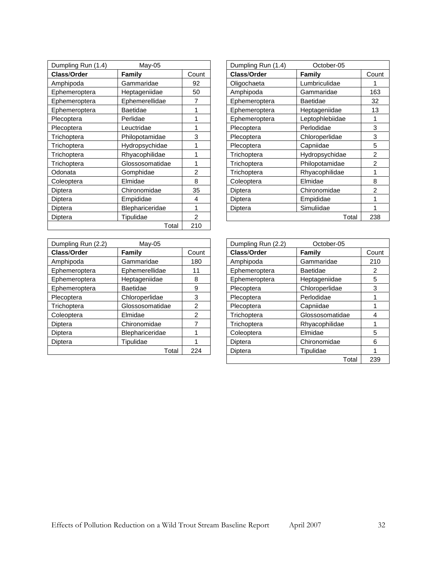| Dumpling Run (1.4) | May-05          |       | Dumpling Run (1.4) | October-05      |                |
|--------------------|-----------------|-------|--------------------|-----------------|----------------|
| Class/Order        | Family          | Count | Class/Order        | Family          | Count          |
| Amphipoda          | Gammaridae      | 92    | Oligochaeta        | Lumbriculidae   |                |
| Ephemeroptera      | Heptageniidae   | 50    | Amphipoda          | Gammaridae      | 163            |
| Ephemeroptera      | Ephemerellidae  |       | Ephemeroptera      | <b>Baetidae</b> | 32             |
| Ephemeroptera      | Baetidae        |       | Ephemeroptera      | Heptageniidae   | 13             |
| Plecoptera         | Perlidae        |       | Ephemeroptera      | Leptophlebiidae | 1              |
| Plecoptera         | Leuctridae      |       | Plecoptera         | Perlodidae      | 3              |
| Trichoptera        | Philopotamidae  | 3     | Plecoptera         | Chloroperlidae  | 3              |
| Trichoptera        | Hydropsychidae  |       | Plecoptera         | Capniidae       | 5              |
| Trichoptera        | Rhyacophilidae  |       | Trichoptera        | Hydropsychidae  | $\overline{2}$ |
| Trichoptera        | Glossosomatidae |       | Trichoptera        | Philopotamidae  | 2              |
| Odonata            | Gomphidae       | 2     | Trichoptera        | Rhyacophilidae  | 1              |
| Coleoptera         | Elmidae         | 8     | Coleoptera         | Elmidae         | 8              |
| Diptera            | Chironomidae    | 35    | Diptera            | Chironomidae    | $\overline{2}$ |
| Diptera            | Empididae       | 4     | Diptera            | Empididae       | 1              |
| Diptera            | Blephariceridae |       | Diptera            | Simuliidae      | 1              |
| Diptera            | Tipulidae       | 2     |                    | Total           | 238            |
|                    | Total           | 210   |                    |                 |                |

| Dumpling Run (1.4) | October-05      |                |
|--------------------|-----------------|----------------|
| Class/Order        | Family          | Count          |
| Oligochaeta        | Lumbriculidae   |                |
| Amphipoda          | Gammaridae      | 163            |
| Ephemeroptera      | Baetidae        | 32             |
| Ephemeroptera      | Heptageniidae   | 13             |
| Ephemeroptera      | Leptophlebiidae | 1              |
| Plecoptera         | Perlodidae      | 3              |
| Plecoptera         | Chloroperlidae  | 3              |
| Plecoptera         | Capniidae       | 5              |
| Trichoptera        | Hydropsychidae  | 2              |
| Trichoptera        | Philopotamidae  | $\overline{2}$ |
| Trichoptera        | Rhyacophilidae  | 1              |
| Coleoptera         | Elmidae         | 8              |
| Diptera            | Chironomidae    | 2              |
| Diptera            | Empididae       | 1              |
| Diptera            | Simuliidae      | 1              |
|                    | Total           | 238            |

| Dumpling Run (2.2) | $May-05$        |                | Dumpling Run (2.2) | October-05      |      |
|--------------------|-----------------|----------------|--------------------|-----------------|------|
| Class/Order        | Family          | Count          | Class/Order        | Family          | Coun |
| Amphipoda          | Gammaridae      | 180            | Amphipoda          | Gammaridae      | 210  |
| Ephemeroptera      | Ephemerellidae  | 11             | Ephemeroptera      | <b>Baetidae</b> | 2    |
| Ephemeroptera      | Heptageniidae   | 8              | Ephemeroptera      | Heptageniidae   | 5    |
| Ephemeroptera      | Baetidae        | 9              | Plecoptera         | Chloroperlidae  | 3    |
| Plecoptera         | Chloroperlidae  | 3              | Plecoptera         | Perlodidae      |      |
| Trichoptera        | Glossosomatidae | $\mathfrak{p}$ | Plecoptera         | Capniidae       |      |
| Coleoptera         | Elmidae         | $\mathcal{P}$  | Trichoptera        | Glossosomatidae | 4    |
| Diptera            | Chironomidae    |                | Trichoptera        | Rhyacophilidae  |      |
| Diptera            | Blephariceridae |                | Coleoptera         | Elmidae         | 5    |
| Diptera            | Tipulidae       |                | Diptera            | Chironomidae    | 6    |
|                    | Total           | 224            | Diptera            | Tipulidae       |      |

| Dumpling Run (2.2) | $May-05$        |                | Dumpling Run (2.2) | October-05      |       |
|--------------------|-----------------|----------------|--------------------|-----------------|-------|
| <b>Class/Order</b> | Family          | Count          | Class/Order        | Family          | Count |
| Amphipoda          | Gammaridae      | 180            | Amphipoda          | Gammaridae      | 210   |
| Ephemeroptera      | Ephemerellidae  | 11             | Ephemeroptera      | <b>Baetidae</b> | 2     |
| Ephemeroptera      | Heptageniidae   | 8              | Ephemeroptera      | Heptageniidae   | 5     |
| Ephemeroptera      | Baetidae        | 9              | Plecoptera         | Chloroperlidae  | 3     |
| Plecoptera         | Chloroperlidae  | 3              | Plecoptera         | Perlodidae      |       |
| Trichoptera        | Glossosomatidae | 2              | Plecoptera         | Capniidae       |       |
| Coleoptera         | Elmidae         | $\overline{2}$ | Trichoptera        | Glossosomatidae | 4     |
| Diptera            | Chironomidae    |                | Trichoptera        | Rhyacophilidae  |       |
| Diptera            | Blephariceridae |                | Coleoptera         | Elmidae         | 5     |
| Diptera            | Tipulidae       |                | Diptera            | Chironomidae    | 6     |
|                    | Total           | 224            | Diptera            | Tipulidae       |       |
|                    |                 |                |                    | Total           | 239   |